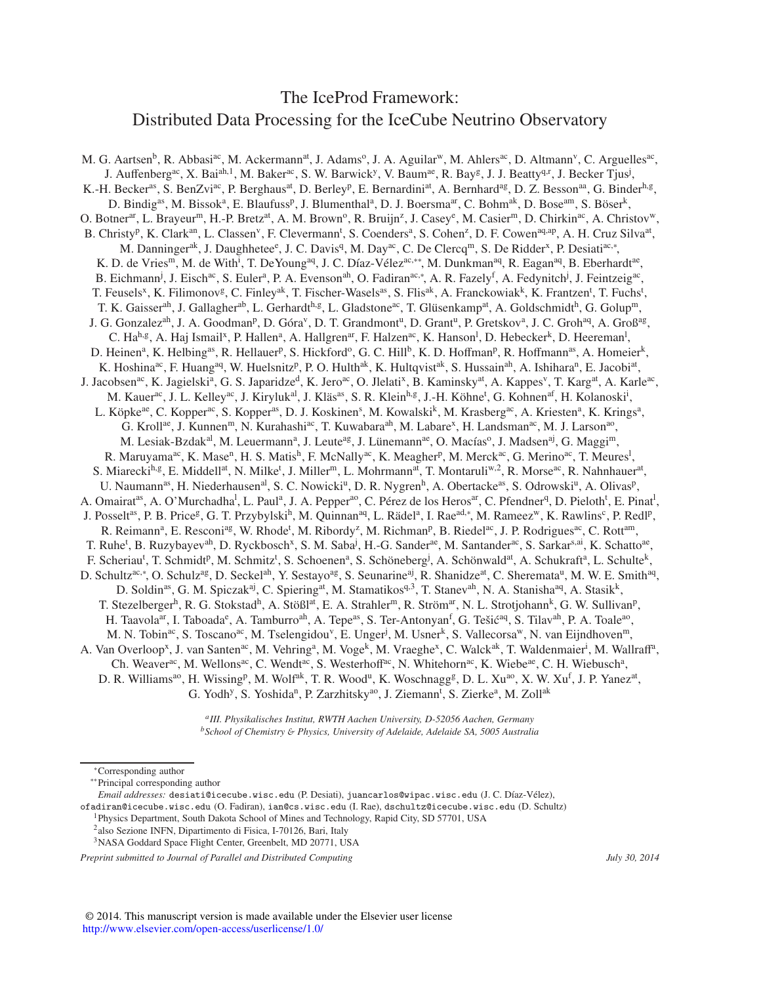# The IceProd Framework: Distributed Data Processing for the IceCube Neutrino Observatory

M. G. Aartsen<sup>b</sup>, R. Abbasi<sup>ac</sup>, M. Ackermann<sup>at</sup>, J. Adams<sup>o</sup>, J. A. Aguilar<sup>w</sup>, M. Ahlers<sup>ac</sup>, D. Altmann<sup>v</sup>, C. Arguelles<sup>ac</sup>, J. Auffenberg<sup>ac</sup>, X. Bai<sup>ah, 1</sup>, M. Baker<sup>ac</sup>, S. W. Barwick<sup>y</sup>, V. Baum<sup>ae</sup>, R. Bay<sup>g</sup>, J. J. Beatty<sup>q,r</sup>, J. Becker Tjus<sup>j</sup>, K.-H. Becker<sup>as</sup>, S. BenZvi<sup>ac</sup>, P. Berghaus<sup>at</sup>, D. Berley<sup>p</sup>, E. Bernardini<sup>at</sup>, A. Bernhard<sup>ag</sup>, D. Z. Besson<sup>aa</sup>, G. Binder<sup>h,g</sup>, D. Bindig<sup>as</sup>, M. Bissok<sup>a</sup>, E. Blaufuss<sup>p</sup>, J. Blumenthal<sup>a</sup>, D. J. Boersma<sup>ar</sup>, C. Bohm<sup>ak</sup>, D. Bose<sup>am</sup>, S. Böser<sup>k</sup>, O. Botner<sup>ar</sup>, L. Brayeur<sup>m</sup>, H.-P. Bretz<sup>at</sup>, A. M. Brown<sup>o</sup>, R. Bruijn<sup>z</sup>, J. Casey<sup>e</sup>, M. Casier<sup>m</sup>, D. Chirkin<sup>ac</sup>, A. Christov<sup>w</sup>, B. Christy<sup>p</sup>, K. Clark<sup>an</sup>, L. Classen<sup>v</sup>, F. Clevermann<sup>t</sup>, S. Coenders<sup>a</sup>, S. Cohen<sup>z</sup>, D. F. Cowen<sup>aq,ap</sup>, A. H. Cruz Silva<sup>at</sup>, M. Danninger<sup>ak</sup>, J. Daughhetee<sup>e</sup>, J. C. Davis<sup>q</sup>, M. Day<sup>ac</sup>, C. De Clercq<sup>m</sup>, S. De Ridder<sup>x</sup>, P. Desiati<sup>ac,\*</sup>, K. D. de Vries<sup>m</sup>, M. de With<sup>i</sup>, T. De Young<sup>aq</sup>, J. C. Díaz-Vélez<sup>ac,∗∗</sup>, M. Dunkman<sup>aq</sup>, R. Eagan<sup>aq</sup>, B. Eberhardt<sup>ae</sup>, B. Eichmann<sup>j</sup>, J. Eisch<sup>ac</sup>, S. Euler<sup>a</sup>, P. A. Evenson<sup>ah</sup>, O. Fadiran<sup>ac,∗</sup>, A. R. Fazely<sup>f</sup>, A. Fedynitch<sup>j</sup>, J. Feintzeig<sup>ac</sup>, T. Feusels<sup>x</sup>, K. Filimonov<sup>g</sup>, C. Finley<sup>ak</sup>, T. Fischer-Wasels<sup>as</sup>, S. Flis<sup>ak</sup>, A. Franckowiak<sup>k</sup>, K. Frantzen<sup>t</sup>, T. Fuchs<sup>t</sup>, T. K. Gaisser<sup>ah</sup>, J. Gallagher<sup>ab</sup>, L. Gerhardt<sup>h,g</sup>, L. Gladstone<sup>ac</sup>, T. Glüsenkamp<sup>at</sup>, A. Goldschmidt<sup>h</sup>, G. Golup<sup>m</sup>, J. G. Gonzalez<sup>ah</sup>, J. A. Goodman<sup>p</sup>, D. Góra<sup>v</sup>, D. T. Grandmont<sup>u</sup>, D. Grant<sup>u</sup>, P. Gretskov<sup>a</sup>, J. C. Groh<sup>aq</sup>, A. Groß<sup>ag</sup>, C. Ha<sup>h,g</sup>, A. Haj Ismail<sup>x</sup>, P. Hallen<sup>a</sup>, A. Hallgren<sup>ar</sup>, F. Halzen<sup>ac</sup>, K. Hanson<sup>1</sup>, D. Hebecker<sup>k</sup>, D. Heereman<sup>1</sup>, D. Heinen<sup>a</sup>, K. Helbing<sup>as</sup>, R. Hellauer<sup>p</sup>, S. Hickford<sup>o</sup>, G. C. Hill<sup>b</sup>, K. D. Hoffman<sup>p</sup>, R. Hoffmann<sup>as</sup>, A. Homeier<sup>k</sup>, K. Hoshina<sup>ac</sup>, F. Huang<sup>aq</sup>, W. Huelsnitz<sup>p</sup>, P. O. Hulth<sup>ak</sup>, K. Hultqvist<sup>ak</sup>, S. Hussain<sup>ah</sup>, A. Ishihara<sup>n</sup>, E. Jacobi<sup>at</sup>, J. Jacobsen<sup>ac</sup>, K. Jagielski<sup>a</sup>, G. S. Japaridze<sup>d</sup>, K. Jero<sup>ac</sup>, O. Jlelati<sup>x</sup>, B. Kaminsky<sup>at</sup>, A. Kappes<sup>v</sup>, T. Karg<sup>at</sup>, A. Karle<sup>ac</sup>, M. Kauer<sup>ac</sup>, J. L. Kelley<sup>ac</sup>, J. Kiryluk<sup>al</sup>, J. Kläs<sup>as</sup>, S. R. Klein<sup>h,g</sup>, J.-H. Köhne<sup>t</sup>, G. Kohnen<sup>af</sup>, H. Kolanoski<sup>i</sup>, L. Köpke<sup>ae</sup>, C. Kopper<sup>ac</sup>, S. Kopper<sup>as</sup>, D. J. Koskinen<sup>s</sup>, M. Kowalski<sup>k</sup>, M. Krasberg<sup>ac</sup>, A. Kriesten<sup>a</sup>, K. Krings<sup>a</sup>, G. Kroll<sup>ae</sup>, J. Kunnen<sup>m</sup>, N. Kurahashi<sup>ac</sup>, T. Kuwabara<sup>ah</sup>, M. Labare<sup>x</sup>, H. Landsman<sup>ac</sup>, M. J. Larson<sup>ao</sup>, M. Lesiak-Bzdak<sup>al</sup>, M. Leuermann<sup>a</sup>, J. Leute<sup>ag</sup>, J. Lünemann<sup>ae</sup>, O. Macías<sup>o</sup>, J. Madsen<sup>aj</sup>, G. Maggi<sup>m</sup>, R. Maruyama<sup>ac</sup>, K. Mase<sup>n</sup>, H. S. Matis<sup>h</sup>, F. McNally<sup>ac</sup>, K. Meagher<sup>p</sup>, M. Merck<sup>ac</sup>, G. Merino<sup>ac</sup>, T. Meures<sup>1</sup>, S. Miarecki<sup>h,g</sup>, E. Middell<sup>at</sup>, N. Milke<sup>t</sup>, J. Miller<sup>m</sup>, L. Mohrmann<sup>at</sup>, T. Montaruli<sup>w,2</sup>, R. Morse<sup>ac</sup>, R. Nahnhauer<sup>at</sup>, U. Naumann<sup>as</sup>, H. Niederhausen<sup>al</sup>, S. C. Nowicki<sup>u</sup>, D. R. Nygren<sup>h</sup>, A. Obertacke<sup>as</sup>, S. Odrowski<sup>u</sup>, A. Olivas<sup>p</sup>, A. Omairat<sup>as</sup>, A. O'Murchadha<sup>l</sup>, L. Paul<sup>a</sup>, J. A. Pepper<sup>ao</sup>, C. Pérez de los Heros<sup>ar</sup>, C. Pfendner<sup>q</sup>, D. Pieloth<sup>t</sup>, E. Pinat<sup>l</sup>, J. Posselt<sup>as</sup>, P. B. Price<sup>g</sup>, G. T. Przybylski<sup>h</sup>, M. Quinnan<sup>aq</sup>, L. Rädel<sup>a</sup>, I. Rae<sup>ad,\*</sup>, M. Rameez<sup>w</sup>, K. Rawlins<sup>c</sup>, P. Redl<sup>p</sup>, R. Reimann<sup>a</sup>, E. Resconi<sup>ag</sup>, W. Rhode<sup>t</sup>, M. Ribordy<sup>z</sup>, M. Richman<sup>p</sup>, B. Riedel<sup>ac</sup>, J. P. Rodrigues<sup>ac</sup>, C. Rott<sup>am</sup>, T. Ruhe<sup>t</sup>, B. Ruzybayev<sup>ah</sup>, D. Ryckbosch<sup>x</sup>, S. M. Saba<sup>j</sup>, H.-G. Sander<sup>ae</sup>, M. Santander<sup>ac</sup>, S. Sarkar<sup>s,ai</sup>, K. Schatto<sup>ae</sup>, F. Scheriau<sup>t</sup>, T. Schmidt<sup>p</sup>, M. Schmitz<sup>t</sup>, S. Schoenen<sup>a</sup>, S. Schöneberg<sup>j</sup>, A. Schönwald<sup>at</sup>, A. Schukraft<sup>a</sup>, L. Schulte<sup>k</sup>, D. Schultz<sup>ac,∗</sup>, O. Schulz<sup>ag</sup>, D. Seckel<sup>ah</sup>, Y. Sestayo<sup>ag</sup>, S. Seunarine<sup>aj</sup>, R. Shanidze<sup>at</sup>, C. Sheremata<sup>u</sup>, M. W. E. Smith<sup>aq</sup>, D. Soldin<sup>as</sup>, G. M. Spiczak<sup>aj</sup>, C. Spiering<sup>at</sup>, M. Stamatikos<sup>q,3</sup>, T. Stanev<sup>ah</sup>, N. A. Stanisha<sup>aq</sup>, A. Stasik<sup>k</sup>, T. Stezelberger<sup>h</sup>, R. G. Stokstad<sup>h</sup>, A. Stößl<sup>at</sup>, E. A. Strahler<sup>m</sup>, R. Ström<sup>ar</sup>, N. L. Strotjohann<sup>k</sup>, G. W. Sullivan<sup>p</sup>, H. Taavola<sup>ar</sup>, I. Taboada<sup>e</sup>, A. Tamburro<sup>ah</sup>, A. Tepe<sup>as</sup>, S. Ter-Antonyan<sup>f</sup>, G. Tešić<sup>aq</sup>, S. Tilav<sup>ah</sup>, P. A. Toale<sup>ao</sup>, M. N. Tobin<sup>ac</sup>, S. Toscano<sup>ac</sup>, M. Tselengidou<sup>v</sup>, E. Unger<sup>j</sup>, M. Usner<sup>k</sup>, S. Vallecorsa<sup>w</sup>, N. van Eijndhoven<sup>m</sup>, A. Van Overloop<sup>x</sup>, J. van Santen<sup>ac</sup>, M. Vehring<sup>a</sup>, M. Voge<sup>k</sup>, M. Vraeghe<sup>x</sup>, C. Walck<sup>ak</sup>, T. Waldenmaier<sup>i</sup>, M. Wallraff<sup>a</sup>, Ch. Weaver<sup>ac</sup>, M. Wellons<sup>ac</sup>, C. Wendt<sup>ac</sup>, S. Westerhoff<sup>ac</sup>, N. Whitehorn<sup>ac</sup>, K. Wiebe<sup>ae</sup>, C. H. Wiebusch<sup>a</sup>, D. R. Williams<sup>ao</sup>, H. Wissing<sup>p</sup>, M. Wolf<sup>ak</sup>, T. R. Wood<sup>u</sup>, K. Woschnagg<sup>g</sup>, D. L. Xu<sup>ao</sup>, X. W. Xu<sup>f</sup>, J. P. Yanez<sup>at</sup>, G. Yodh<sup>y</sup>, S. Yoshida<sup>n</sup>, P. Zarzhitsky<sup>ao</sup>, J. Ziemann<sup>t</sup>, S. Zierke<sup>a</sup>, M. Zoll<sup>ak</sup>

> *a III. Physikalisches Institut, RWTH Aachen University, D-52056 Aachen, Germany <sup>b</sup>School of Chemistry* & *Physics, University of Adelaide, Adelaide SA, 5005 Australia*

ofadiran@icecube.wisc.edu (O. Fadiran), ian@cs.wisc.edu (I. Rae), dschultz@icecube.wisc.edu (D. Schultz) <sup>1</sup>Physics Department, South Dakota School of Mines and Technology, Rapid City, SD 57701, USA

<sup>∗</sup>Corresponding author

<sup>∗∗</sup>Principal corresponding author

*Email addresses:* desiati@icecube.wisc.edu (P. Desiati), juancarlos@wipac.wisc.edu (J. C. Díaz-Vélez),

<sup>2</sup> also Sezione INFN, Dipartimento di Fisica, I-70126, Bari, Italy

<sup>3</sup>NASA Goddard Space Flight Center, Greenbelt, MD 20771, USA

*Preprint submitted to Journal of Parallel and Distributed Computing July 30, 2014*

 <sup>© 2014.</sup> This manuscript version is made available under the Elsevier user license http://www.elsevier.com/open-access/userlicense/1.0/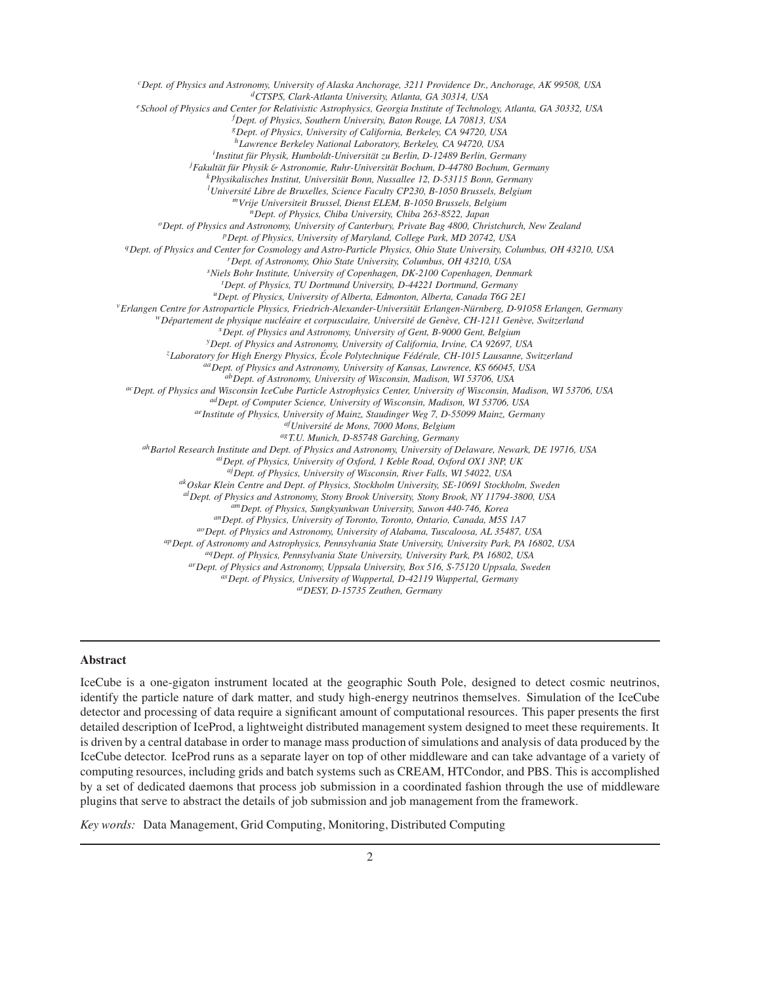*<sup>c</sup>Dept. of Physics and Astronomy, University of Alaska Anchorage, 3211 Providence Dr., Anchorage, AK 99508, USA <sup>d</sup>CTSPS, Clark-Atlanta University, Atlanta, GA 30314, USA <sup>e</sup>School of Physics and Center for Relativistic Astrophysics, Georgia Institute of Technology, Atlanta, GA 30332, USA <sup>f</sup>Dept. of Physics, Southern University, Baton Rouge, LA 70813, USA <sup>g</sup>Dept. of Physics, University of California, Berkeley, CA 94720, USA <sup>h</sup>Lawrence Berkeley National Laboratory, Berkeley, CA 94720, USA* <sup>i</sup> Institut für Physik, Humboldt-Universität zu Berlin, D-12489 Berlin, Germany <sup>*j*</sup>Fakultät für Physik & Astronomie, Ruhr-Universität Bochum, D-44780 Bochum, Germany *<sup>k</sup>Physikalisches Institut, Universit ¨at Bonn, Nussallee 12, D-53115 Bonn, Germany <sup>l</sup>Universit´e Libre de Bruxelles, Science Faculty CP230, B-1050 Brussels, Belgium <sup>m</sup>Vrije Universiteit Brussel, Dienst ELEM, B-1050 Brussels, Belgium <sup>n</sup>Dept. of Physics, Chiba University, Chiba 263-8522, Japan <sup>o</sup>Dept. of Physics and Astronomy, University of Canterbury, Private Bag 4800, Christchurch, New Zealand <sup>p</sup>Dept. of Physics, University of Maryland, College Park, MD 20742, USA <sup>q</sup>Dept. of Physics and Center for Cosmology and Astro-Particle Physics, Ohio State University, Columbus, OH 43210, USA <sup>r</sup>Dept. of Astronomy, Ohio State University, Columbus, OH 43210, USA <sup>s</sup>Niels Bohr Institute, University of Copenhagen, DK-2100 Copenhagen, Denmark <sup>t</sup>Dept. of Physics, TU Dortmund University, D-44221 Dortmund, Germany <sup>u</sup>Dept. of Physics, University of Alberta, Edmonton, Alberta, Canada T6G 2E1* <sup>v</sup>*Erlangen Centre for Astroparticle Physics, Friedrich-Alexander-Universität Erlangen-Nürnberg, D-91058 Erlangen, Germany <sup>w</sup>D´epartement de physique nucl´eaire et corpusculaire, Universit´e de Gen`eve, CH-1211 Gen`eve, Switzerland <sup>x</sup>Dept. of Physics and Astronomy, University of Gent, B-9000 Gent, Belgium <sup>y</sup>Dept. of Physics and Astronomy, University of California, Irvine, CA 92697, USA <sup>z</sup>Laboratory for High Energy Physics, Ecole Polytechnique F´ed´erale, CH-1015 Lausanne, Switze ´ rland aaDept. of Physics and Astronomy, University of Kansas, Lawrence, KS 66045, USA abDept. of Astronomy, University of Wisconsin, Madison, WI 53706, USA acDept. of Physics and Wisconsin IceCube Particle Astrophysics Center, University of Wisconsin, Madison, WI 53706, USA adDept. of Computer Science, University of Wisconsin, Madison, WI 53706, USA aeInstitute of Physics, University of Mainz, Staudinger Weg 7, D-55099 Mainz, Germany afUniversit´e de Mons, 7000 Mons, Belgium agT.U. Munich, D-85748 Garching, Germany ahBartol Research Institute and Dept. of Physics and Astronomy, University of Delaware, Newark, DE 19716, USA aiDept. of Physics, University of Oxford, 1 Keble Road, Oxford OX1 3NP, UK ajDept. of Physics, University of Wisconsin, River Falls, WI 54022, USA akOskar Klein Centre and Dept. of Physics, Stockholm University, SE-10691 Stockholm, Sweden alDept. of Physics and Astronomy, Stony Brook University, Stony Brook, NY 11794-3800, USA amDept. of Physics, Sungkyunkwan University, Suwon 440-746, Korea anDept. of Physics, University of Toronto, Toronto, Ontario, Canada, M5S 1A7 aoDept. of Physics and Astronomy, University of Alabama, Tuscaloosa, AL 35487, USA apDept. of Astronomy and Astrophysics, Pennsylvania State University, University Park, PA 16802, USA aqDept. of Physics, Pennsylvania State University, University Park, PA 16802, USA arDept. of Physics and Astronomy, Uppsala University, Box 516, S-75120 Uppsala, Sweden asDept. of Physics, University of Wuppertal, D-42119 Wuppertal, Germany atDESY, D-15735 Zeuthen, Germany*

# Abstract

IceCube is a one-gigaton instrument located at the geographic South Pole, designed to detect cosmic neutrinos, identify the particle nature of dark matter, and study high-energy neutrinos themselves. Simulation of the IceCube detector and processing of data require a significant amount of computational resources. This paper presents the first detailed description of IceProd, a lightweight distributed management system designed to meet these requirements. It is driven by a central database in order to manage mass production of simulations and analysis of data produced by the IceCube detector. IceProd runs as a separate layer on top of other middleware and can take advantage of a variety of computing resources, including grids and batch systems such as CREAM, HTCondor, and PBS. This is accomplished by a set of dedicated daemons that process job submission in a coordinated fashion through the use of middleware plugins that serve to abstract the details of job submission and job management from the framework.

*Key words:* Data Management, Grid Computing, Monitoring, Distributed Computing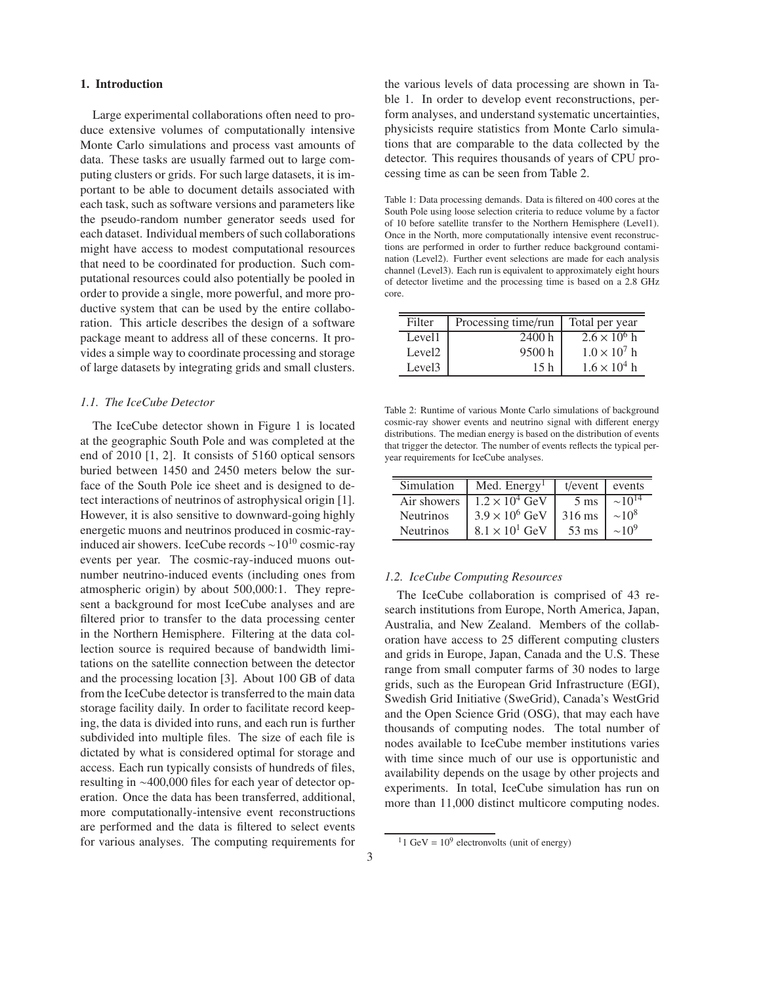#### 1. Introduction

Large experimental collaborations often need to produce extensive volumes of computationally intensive Monte Carlo simulations and process vast amounts of data. These tasks are usually farmed out to large computing clusters or grids. For such large datasets, it is important to be able to document details associated with each task, such as software versions and parameters like the pseudo-random number generator seeds used for each dataset. Individual members of such collaborations might have access to modest computational resources that need to be coordinated for production. Such computational resources could also potentially be pooled in order to provide a single, more powerful, and more productive system that can be used by the entire collaboration. This article describes the design of a software package meant to address all of these concerns. It provides a simple way to coordinate processing and storage of large datasets by integrating grids and small clusters.

## *1.1. The IceCube Detector*

The IceCube detector shown in Figure 1 is located at the geographic South Pole and was completed at the end of 2010 [1, 2]. It consists of 5160 optical sensors buried between 1450 and 2450 meters below the surface of the South Pole ice sheet and is designed to detect interactions of neutrinos of astrophysical origin [1]. However, it is also sensitive to downward-going highly energetic muons and neutrinos produced in cosmic-rayinduced air showers. IceCube records  $\sim$ 10<sup>10</sup> cosmic-ray events per year. The cosmic-ray-induced muons outnumber neutrino-induced events (including ones from atmospheric origin) by about 500,000:1. They represent a background for most IceCube analyses and are filtered prior to transfer to the data processing center in the Northern Hemisphere. Filtering at the data collection source is required because of bandwidth limitations on the satellite connection between the detector and the processing location [3]. About 100 GB of data from the IceCube detector is transferred to the main data storage facility daily. In order to facilitate record keeping, the data is divided into runs, and each run is further subdivided into multiple files. The size of each file is dictated by what is considered optimal for storage and access. Each run typically consists of hundreds of files, resulting in ∼400,000 files for each year of detector operation. Once the data has been transferred, additional, more computationally-intensive event reconstructions are performed and the data is filtered to select events for various analyses. The computing requirements for

the various levels of data processing are shown in Table 1. In order to develop event reconstructions, perform analyses, and understand systematic uncertainties, physicists require statistics from Monte Carlo simulations that are comparable to the data collected by the detector. This requires thousands of years of CPU processing time as can be seen from Table 2.

Table 1: Data processing demands. Data is filtered on 400 cores at the South Pole using loose selection criteria to reduce volume by a factor of 10 before satellite transfer to the Northern Hemisphere (Level1). Once in the North, more computationally intensive event reconstructions are performed in order to further reduce background contamination (Level2). Further event selections are made for each analysis channel (Level3). Each run is equivalent to approximately eight hours of detector livetime and the processing time is based on a 2.8 GHz core.

| Filter             | Processing time/run | Total per year        |
|--------------------|---------------------|-----------------------|
| Level1             | 2400 h              | $2.6 \times 10^{6}$ h |
| Level <sub>2</sub> | 9500 h              | $1.0 \times 10^{7}$ h |
| Level <sub>3</sub> | 15h                 | $1.6 \times 10^4$ h   |

Table 2: Runtime of various Monte Carlo simulations of background cosmic-ray shower events and neutrino signal with different energy distributions. The median energy is based on the distribution of events that trigger the detector. The number of events reflects the typical peryear requirements for IceCube analyses.

| Simulation       | Med. $Energy1$        | t/event         | events         |
|------------------|-----------------------|-----------------|----------------|
| Air showers      | $1.2 \times 10^4$ GeV | $5 \text{ ms}$  | $\sim 10^{14}$ |
| <b>Neutrinos</b> | $3.9 \times 10^6$ GeV | 316 ms          | $\sim 10^8$    |
| <b>Neutrinos</b> | $8.1 \times 10^1$ GeV | $53 \text{ ms}$ | $\sim 10^9$    |

# *1.2. IceCube Computing Resources*

The IceCube collaboration is comprised of 43 research institutions from Europe, North America, Japan, Australia, and New Zealand. Members of the collaboration have access to 25 different computing clusters and grids in Europe, Japan, Canada and the U.S. These range from small computer farms of 30 nodes to large grids, such as the European Grid Infrastructure (EGI), Swedish Grid Initiative (SweGrid), Canada's WestGrid and the Open Science Grid (OSG), that may each have thousands of computing nodes. The total number of nodes available to IceCube member institutions varies with time since much of our use is opportunistic and availability depends on the usage by other projects and experiments. In total, IceCube simulation has run on more than 11,000 distinct multicore computing nodes.

<sup>&</sup>lt;sup>1</sup>1 GeV =  $10^9$  electronvolts (unit of energy)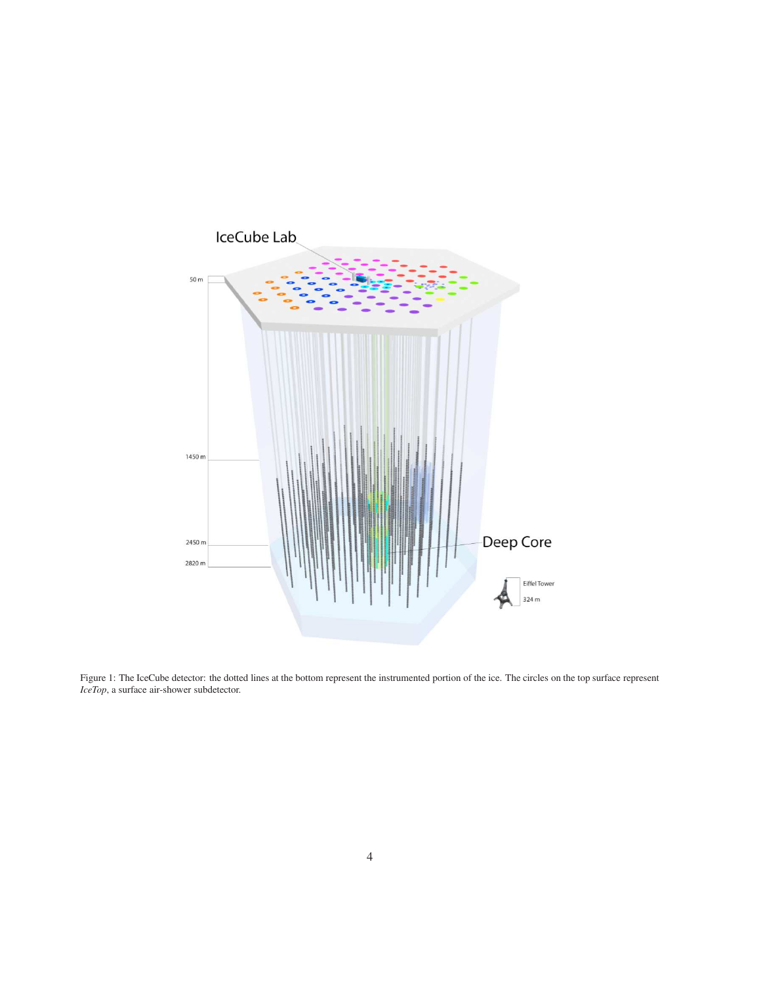

Figure 1: The IceCube detector: the dotted lines at the bottom represent the instrumented portion of the ice. The circles on the top surface represent *IceTop*, a surface air-shower subdetector.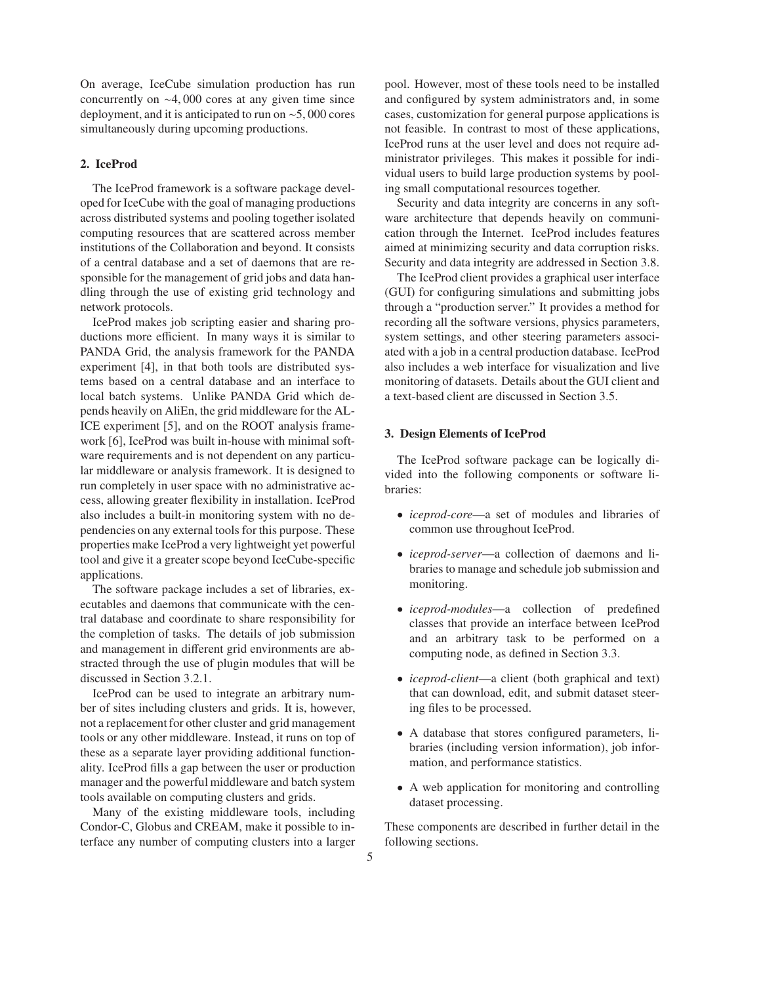On average, IceCube simulation production has run concurrently on <sup>∼</sup>4, 000 cores at any given time since deployment, and it is anticipated to run on <sup>∼</sup>5, 000 cores simultaneously during upcoming productions.

# 2. IceProd

The IceProd framework is a software package developed for IceCube with the goal of managing productions across distributed systems and pooling together isolated computing resources that are scattered across member institutions of the Collaboration and beyond. It consists of a central database and a set of daemons that are responsible for the management of grid jobs and data handling through the use of existing grid technology and network protocols.

IceProd makes job scripting easier and sharing productions more efficient. In many ways it is similar to PANDA Grid, the analysis framework for the PANDA experiment [4], in that both tools are distributed systems based on a central database and an interface to local batch systems. Unlike PANDA Grid which depends heavily on AliEn, the grid middleware for the AL-ICE experiment [5], and on the ROOT analysis framework [6], IceProd was built in-house with minimal software requirements and is not dependent on any particular middleware or analysis framework. It is designed to run completely in user space with no administrative access, allowing greater flexibility in installation. IceProd also includes a built-in monitoring system with no dependencies on any external tools for this purpose. These properties make IceProd a very lightweight yet powerful tool and give it a greater scope beyond IceCube-specific applications.

The software package includes a set of libraries, executables and daemons that communicate with the central database and coordinate to share responsibility for the completion of tasks. The details of job submission and management in different grid environments are abstracted through the use of plugin modules that will be discussed in Section 3.2.1.

IceProd can be used to integrate an arbitrary number of sites including clusters and grids. It is, however, not a replacement for other cluster and grid management tools or any other middleware. Instead, it runs on top of these as a separate layer providing additional functionality. IceProd fills a gap between the user or production manager and the powerful middleware and batch system tools available on computing clusters and grids.

Many of the existing middleware tools, including Condor-C, Globus and CREAM, make it possible to interface any number of computing clusters into a larger pool. However, most of these tools need to be installed and configured by system administrators and, in some cases, customization for general purpose applications is not feasible. In contrast to most of these applications, IceProd runs at the user level and does not require administrator privileges. This makes it possible for individual users to build large production systems by pooling small computational resources together.

Security and data integrity are concerns in any software architecture that depends heavily on communication through the Internet. IceProd includes features aimed at minimizing security and data corruption risks. Security and data integrity are addressed in Section 3.8.

The IceProd client provides a graphical user interface (GUI) for configuring simulations and submitting jobs through a "production server." It provides a method for recording all the software versions, physics parameters, system settings, and other steering parameters associated with a job in a central production database. IceProd also includes a web interface for visualization and live monitoring of datasets. Details about the GUI client and a text-based client are discussed in Section 3.5.

# 3. Design Elements of IceProd

The IceProd software package can be logically divided into the following components or software libraries:

- *iceprod-core*—a set of modules and libraries of common use throughout IceProd.
- *iceprod-server*—a collection of daemons and libraries to manage and schedule job submission and monitoring.
- *iceprod-modules*—a collection of predefined classes that provide an interface between IceProd and an arbitrary task to be performed on a computing node, as defined in Section 3.3.
- *iceprod-client*—a client (both graphical and text) that can download, edit, and submit dataset steering files to be processed.
- A database that stores configured parameters, libraries (including version information), job information, and performance statistics.
- A web application for monitoring and controlling dataset processing.

These components are described in further detail in the following sections.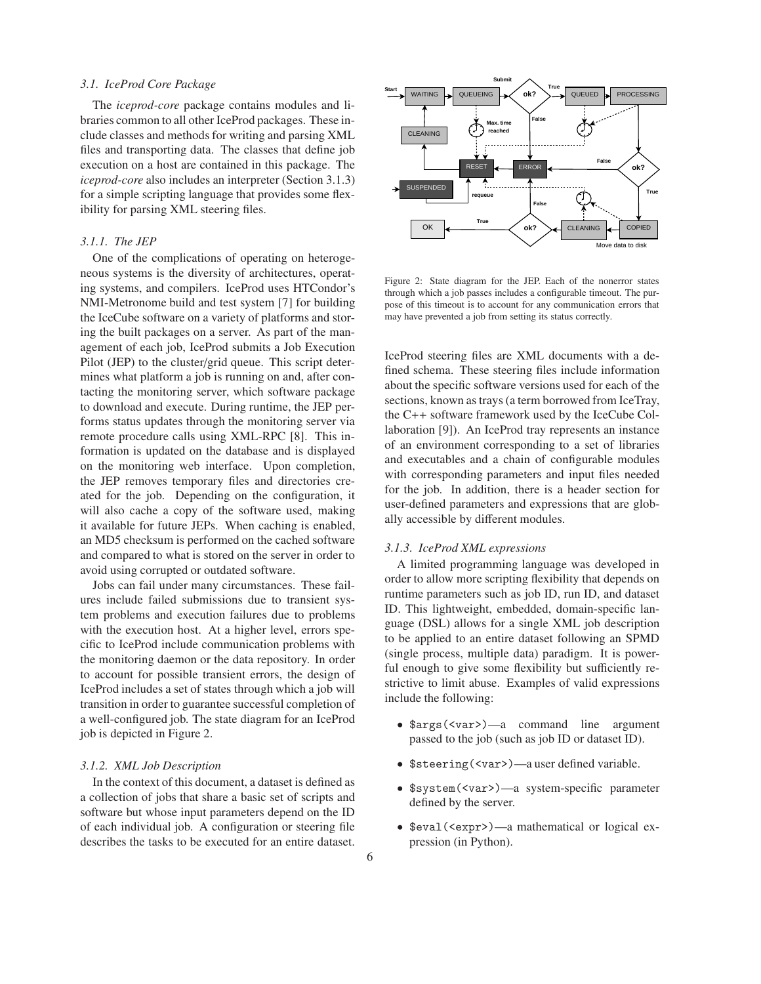#### *3.1. IceProd Core Package*

The *iceprod-core* package contains modules and libraries common to all other IceProd packages. These include classes and methods for writing and parsing XML files and transporting data. The classes that define job execution on a host are contained in this package. The *iceprod-core* also includes an interpreter (Section 3.1.3) for a simple scripting language that provides some flexibility for parsing XML steering files.

## *3.1.1. The JEP*

One of the complications of operating on heterogeneous systems is the diversity of architectures, operating systems, and compilers. IceProd uses HTCondor's NMI-Metronome build and test system [7] for building the IceCube software on a variety of platforms and storing the built packages on a server. As part of the management of each job, IceProd submits a Job Execution Pilot (JEP) to the cluster/grid queue. This script determines what platform a job is running on and, after contacting the monitoring server, which software package to download and execute. During runtime, the JEP performs status updates through the monitoring server via remote procedure calls using XML-RPC [8]. This information is updated on the database and is displayed on the monitoring web interface. Upon completion, the JEP removes temporary files and directories created for the job. Depending on the configuration, it will also cache a copy of the software used, making it available for future JEPs. When caching is enabled, an MD5 checksum is performed on the cached software and compared to what is stored on the server in order to avoid using corrupted or outdated software.

Jobs can fail under many circumstances. These failures include failed submissions due to transient system problems and execution failures due to problems with the execution host. At a higher level, errors specific to IceProd include communication problems with the monitoring daemon or the data repository. In order to account for possible transient errors, the design of IceProd includes a set of states through which a job will transition in order to guarantee successful completion of a well-configured job. The state diagram for an IceProd job is depicted in Figure 2.

## *3.1.2. XML Job Description*

In the context of this document, a dataset is defined as a collection of jobs that share a basic set of scripts and software but whose input parameters depend on the ID of each individual job. A configuration or steering file describes the tasks to be executed for an entire dataset.



Figure 2: State diagram for the JEP. Each of the nonerror states through which a job passes includes a configurable timeout. The purpose of this timeout is to account for any communication errors that may have prevented a job from setting its status correctly.

IceProd steering files are XML documents with a defined schema. These steering files include information about the specific software versions used for each of the sections, known as trays (a term borrowed from IceTray, the C++ software framework used by the IceCube Collaboration [9]). An IceProd tray represents an instance of an environment corresponding to a set of libraries and executables and a chain of configurable modules with corresponding parameters and input files needed for the job. In addition, there is a header section for user-defined parameters and expressions that are globally accessible by different modules.

#### *3.1.3. IceProd XML expressions*

A limited programming language was developed in order to allow more scripting flexibility that depends on runtime parameters such as job ID, run ID, and dataset ID. This lightweight, embedded, domain-specific language (DSL) allows for a single XML job description to be applied to an entire dataset following an SPMD (single process, multiple data) paradigm. It is powerful enough to give some flexibility but sufficiently restrictive to limit abuse. Examples of valid expressions include the following:

- $\frac{1}{\sqrt{2}}$  +  $\frac{1}{\sqrt{2}}$  +  $\frac{1}{\sqrt{2}}$  +  $\frac{1}{\sqrt{2}}$  +  $\frac{1}{\sqrt{2}}$  +  $\frac{1}{\sqrt{2}}$  +  $\frac{1}{\sqrt{2}}$  +  $\frac{1}{\sqrt{2}}$  +  $\frac{1}{\sqrt{2}}$  +  $\frac{1}{\sqrt{2}}$  +  $\frac{1}{\sqrt{2}}$  +  $\frac{1}{\sqrt{2}}$  +  $\frac{1}{\sqrt{2}}$  +  $\frac{1}{\sqrt{2}}$  +  $\frac{1}{\sqrt{2$ passed to the job (such as job ID or dataset ID).
- \$steering(<var>)—a user defined variable.
- \$system(<var>)—a system-specific parameter defined by the server.
- \$eval(<expr>)—a mathematical or logical expression (in Python).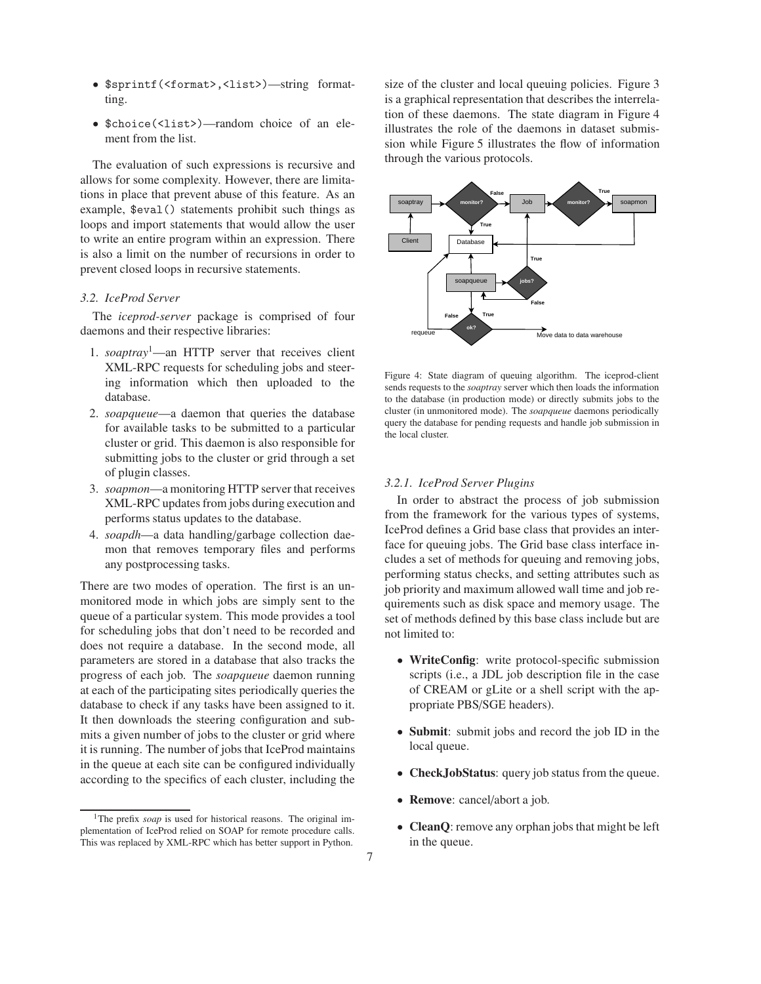- $\text{Sprint}(\text{format}, \text{list})$ —string formatting.
- \$choice(<list>)—random choice of an element from the list.

The evaluation of such expressions is recursive and allows for some complexity. However, there are limitations in place that prevent abuse of this feature. As an example, \$eval() statements prohibit such things as loops and import statements that would allow the user to write an entire program within an expression. There is also a limit on the number of recursions in order to prevent closed loops in recursive statements.

## *3.2. IceProd Server*

The *iceprod-server* package is comprised of four daemons and their respective libraries:

- 1. *soaptray*<sup>1</sup>—an HTTP server that receives client XML-RPC requests for scheduling jobs and steering information which then uploaded to the database.
- 2. *soapqueue*—a daemon that queries the database for available tasks to be submitted to a particular cluster or grid. This daemon is also responsible for submitting jobs to the cluster or grid through a set of plugin classes.
- 3. *soapmon*—a monitoring HTTP server that receives XML-RPC updates from jobs during execution and performs status updates to the database.
- 4. *soapdh*—a data handling/garbage collection daemon that removes temporary files and performs any postprocessing tasks.

There are two modes of operation. The first is an unmonitored mode in which jobs are simply sent to the queue of a particular system. This mode provides a tool for scheduling jobs that don't need to be recorded and does not require a database. In the second mode, all parameters are stored in a database that also tracks the progress of each job. The *soapqueue* daemon running at each of the participating sites periodically queries the database to check if any tasks have been assigned to it. It then downloads the steering configuration and submits a given number of jobs to the cluster or grid where it is running. The number of jobs that IceProd maintains in the queue at each site can be configured individually according to the specifics of each cluster, including the

size of the cluster and local queuing policies. Figure 3 is a graphical representation that describes the interrelation of these daemons. The state diagram in Figure 4 illustrates the role of the daemons in dataset submission while Figure 5 illustrates the flow of information through the various protocols.



Figure 4: State diagram of queuing algorithm. The iceprod-client sends requests to the *soaptray* server which then loads the information to the database (in production mode) or directly submits jobs to the cluster (in unmonitored mode). The *soapqueue* daemons periodically query the database for pending requests and handle job submission in the local cluster.

# *3.2.1. IceProd Server Plugins*

In order to abstract the process of job submission from the framework for the various types of systems, IceProd defines a Grid base class that provides an interface for queuing jobs. The Grid base class interface includes a set of methods for queuing and removing jobs, performing status checks, and setting attributes such as job priority and maximum allowed wall time and job requirements such as disk space and memory usage. The set of methods defined by this base class include but are not limited to:

- WriteConfig: write protocol-specific submission scripts (i.e., a JDL job description file in the case of CREAM or gLite or a shell script with the appropriate PBS/SGE headers).
- Submit: submit jobs and record the job ID in the local queue.
- CheckJobStatus: query job status from the queue.
- Remove: cancel/abort a job.
- CleanQ: remove any orphan jobs that might be left in the queue.

<sup>&</sup>lt;sup>1</sup>The prefix *soap* is used for historical reasons. The original implementation of IceProd relied on SOAP for remote procedure calls. This was replaced by XML-RPC which has better support in Python.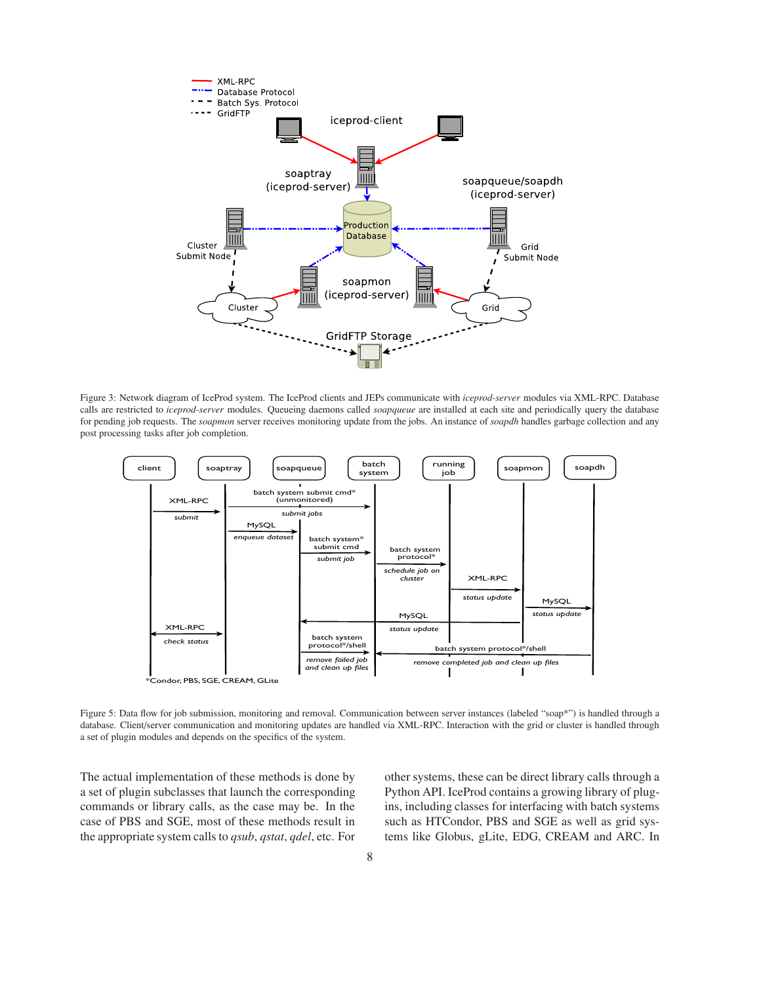

Figure 3: Network diagram of IceProd system. The IceProd clients and JEPs communicate with *iceprod-server* modules via XML-RPC. Database calls are restricted to *iceprod-server* modules. Queueing daemons called *soapqueue* are installed at each site and periodically query the database for pending job requests. The *soapmon* server receives monitoring update from the jobs. An instance of *soapdh* handles garbage collection and any post processing tasks after job completion.



Figure 5: Data flow for job submission, monitoring and removal. Communication between server instances (labeled "soap\*") is handled through a database. Client/server communication and monitoring updates are handled via XML-RPC. Interaction with the grid or cluster is handled through a set of plugin modules and depends on the specifics of the system.

The actual implementation of these methods is done by a set of plugin subclasses that launch the corresponding commands or library calls, as the case may be. In the case of PBS and SGE, most of these methods result in the appropriate system calls to *qsub*, *qstat*, *qdel*, etc. For other systems, these can be direct library calls through a Python API. IceProd contains a growing library of plugins, including classes for interfacing with batch systems such as HTCondor, PBS and SGE as well as grid systems like Globus, gLite, EDG, CREAM and ARC. In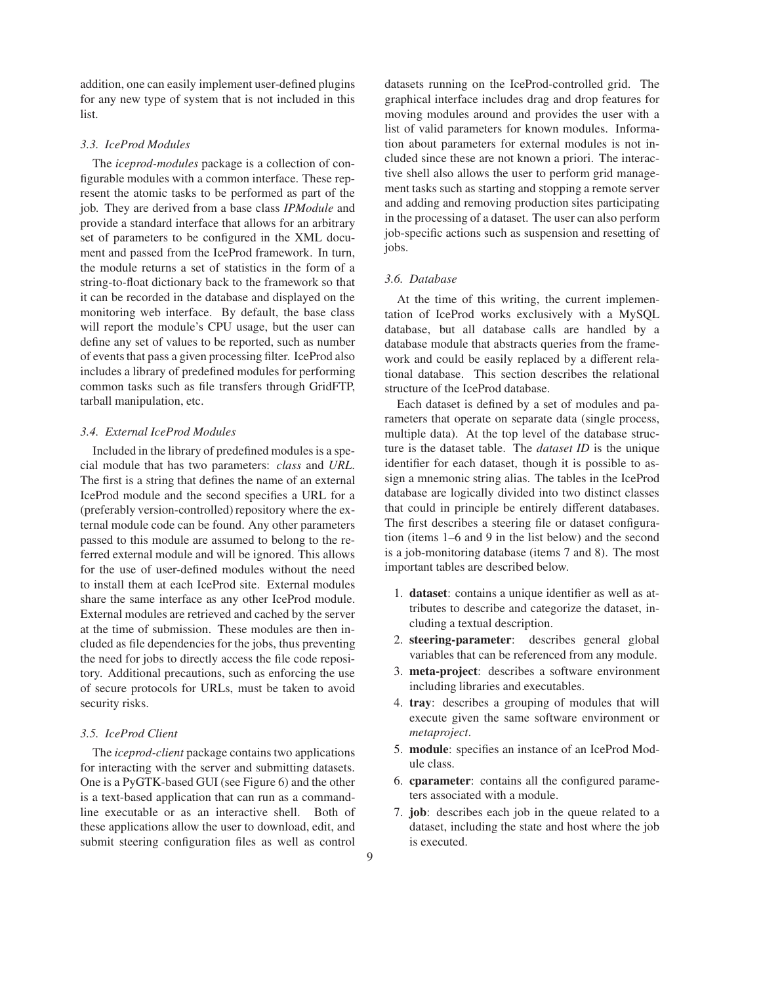addition, one can easily implement user-defined plugins for any new type of system that is not included in this list.

# *3.3. IceProd Modules*

The *iceprod-modules* package is a collection of configurable modules with a common interface. These represent the atomic tasks to be performed as part of the job. They are derived from a base class *IPModule* and provide a standard interface that allows for an arbitrary set of parameters to be configured in the XML document and passed from the IceProd framework. In turn, the module returns a set of statistics in the form of a string-to-float dictionary back to the framework so that it can be recorded in the database and displayed on the monitoring web interface. By default, the base class will report the module's CPU usage, but the user can define any set of values to be reported, such as number of events that pass a given processing filter. IceProd also includes a library of predefined modules for performing common tasks such as file transfers through GridFTP, tarball manipulation, etc.

# *3.4. External IceProd Modules*

Included in the library of predefined modules is a special module that has two parameters: *class* and *URL*. The first is a string that defines the name of an external IceProd module and the second specifies a URL for a (preferably version-controlled) repository where the external module code can be found. Any other parameters passed to this module are assumed to belong to the referred external module and will be ignored. This allows for the use of user-defined modules without the need to install them at each IceProd site. External modules share the same interface as any other IceProd module. External modules are retrieved and cached by the server at the time of submission. These modules are then included as file dependencies for the jobs, thus preventing the need for jobs to directly access the file code repository. Additional precautions, such as enforcing the use of secure protocols for URLs, must be taken to avoid security risks.

## *3.5. IceProd Client*

The *iceprod-client* package contains two applications for interacting with the server and submitting datasets. One is a PyGTK-based GUI (see Figure 6) and the other is a text-based application that can run as a commandline executable or as an interactive shell. Both of these applications allow the user to download, edit, and submit steering configuration files as well as control

datasets running on the IceProd-controlled grid. The graphical interface includes drag and drop features for moving modules around and provides the user with a list of valid parameters for known modules. Information about parameters for external modules is not included since these are not known a priori. The interactive shell also allows the user to perform grid management tasks such as starting and stopping a remote server and adding and removing production sites participating in the processing of a dataset. The user can also perform job-specific actions such as suspension and resetting of jobs.

# *3.6. Database*

At the time of this writing, the current implementation of IceProd works exclusively with a MySQL database, but all database calls are handled by a database module that abstracts queries from the framework and could be easily replaced by a different relational database. This section describes the relational structure of the IceProd database.

Each dataset is defined by a set of modules and parameters that operate on separate data (single process, multiple data). At the top level of the database structure is the dataset table. The *dataset ID* is the unique identifier for each dataset, though it is possible to assign a mnemonic string alias. The tables in the IceProd database are logically divided into two distinct classes that could in principle be entirely different databases. The first describes a steering file or dataset configuration (items 1–6 and 9 in the list below) and the second is a job-monitoring database (items 7 and 8). The most important tables are described below.

- 1. dataset: contains a unique identifier as well as attributes to describe and categorize the dataset, including a textual description.
- 2. steering-parameter: describes general global variables that can be referenced from any module.
- 3. meta-project: describes a software environment including libraries and executables.
- 4. tray: describes a grouping of modules that will execute given the same software environment or *metaproject*.
- 5. module: specifies an instance of an IceProd Module class.
- 6. cparameter: contains all the configured parameters associated with a module.
- 7. job: describes each job in the queue related to a dataset, including the state and host where the job is executed.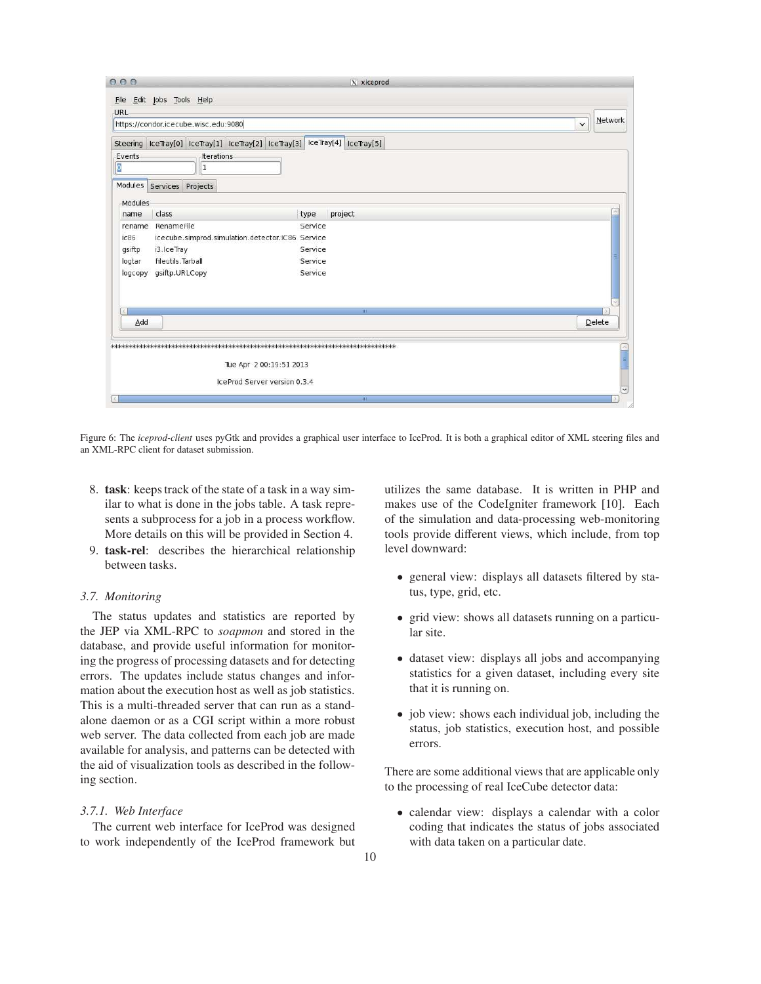| 000            |                                                  | X xiceprod                                                                             |                          |
|----------------|--------------------------------------------------|----------------------------------------------------------------------------------------|--------------------------|
|                | File Edit Jobs Tools Help                        |                                                                                        |                          |
| URL            |                                                  |                                                                                        |                          |
|                | https://condor.icecube.wisc.edu:9080             |                                                                                        | Network<br>$\checkmark$  |
|                |                                                  | Steering   IceTray[0]   IceTray[1]   IceTray[2]   IceTray[3]   IceTray[4]   IceTray[5] |                          |
| Events         | <b>Iterations</b>                                |                                                                                        |                          |
| O              | 1                                                |                                                                                        |                          |
|                |                                                  |                                                                                        |                          |
|                | Modules Services Projects                        |                                                                                        |                          |
| <b>Modules</b> |                                                  |                                                                                        |                          |
| name           | class                                            | project<br>type                                                                        |                          |
| rename         | RenameFile                                       | Service                                                                                |                          |
| ic86           | icecube.simprod.simulation.detector.IC86 Service |                                                                                        |                          |
| gsiftp         | i3.IceTray                                       | Service                                                                                |                          |
| logtar         | fileutils. Tarball                               | Service                                                                                |                          |
| logcopy        | gsiftp.URLCopy                                   | Service                                                                                |                          |
|                |                                                  |                                                                                        |                          |
|                |                                                  |                                                                                        |                          |
|                |                                                  | $\mathbf{m}$                                                                           |                          |
| Add            |                                                  |                                                                                        | Delete                   |
|                |                                                  |                                                                                        |                          |
|                |                                                  |                                                                                        |                          |
|                |                                                  |                                                                                        | ē                        |
|                |                                                  | Tue Apr 2 00:19:51 2013                                                                |                          |
|                |                                                  | IceProd Server version 0.3.4                                                           |                          |
|                |                                                  |                                                                                        | $\overline{\phantom{0}}$ |
|                |                                                  |                                                                                        |                          |

Figure 6: The *iceprod-client* uses pyGtk and provides a graphical user interface to IceProd. It is both a graphical editor of XML steering files and an XML-RPC client for dataset submission.

- 8. task: keeps track of the state of a task in a way similar to what is done in the jobs table. A task represents a subprocess for a job in a process workflow. More details on this will be provided in Section 4.
- 9. task-rel: describes the hierarchical relationship between tasks.

# *3.7. Monitoring*

The status updates and statistics are reported by the JEP via XML-RPC to *soapmon* and stored in the database, and provide useful information for monitoring the progress of processing datasets and for detecting errors. The updates include status changes and information about the execution host as well as job statistics. This is a multi-threaded server that can run as a standalone daemon or as a CGI script within a more robust web server. The data collected from each job are made available for analysis, and patterns can be detected with the aid of visualization tools as described in the following section.

# *3.7.1. Web Interface*

The current web interface for IceProd was designed to work independently of the IceProd framework but utilizes the same database. It is written in PHP and makes use of the CodeIgniter framework [10]. Each of the simulation and data-processing web-monitoring tools provide different views, which include, from top level downward:

- general view: displays all datasets filtered by status, type, grid, etc.
- grid view: shows all datasets running on a particular site.
- dataset view: displays all jobs and accompanying statistics for a given dataset, including every site that it is running on.
- job view: shows each individual job, including the status, job statistics, execution host, and possible errors.

There are some additional views that are applicable only to the processing of real IceCube detector data:

• calendar view: displays a calendar with a color coding that indicates the status of jobs associated with data taken on a particular date.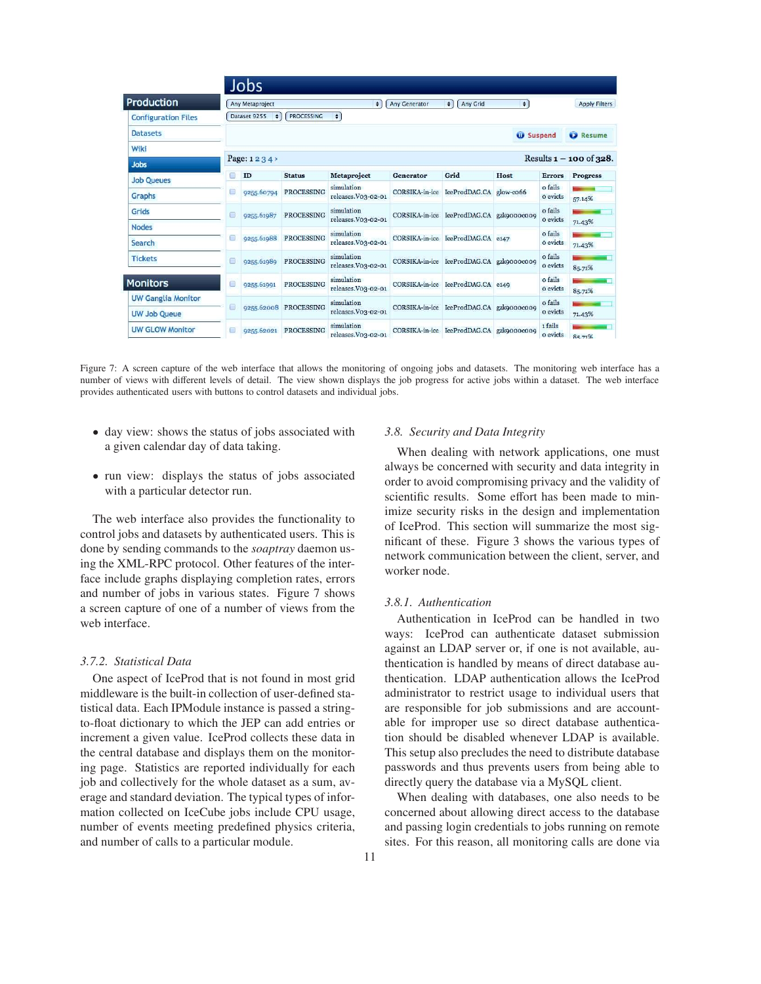|                                                  |   | Jobs                                 |                   |                                  |                       |                           |                  |                       |                           |
|--------------------------------------------------|---|--------------------------------------|-------------------|----------------------------------|-----------------------|---------------------------|------------------|-----------------------|---------------------------|
| Production                                       |   | Any Metaproject                      |                   | $\div$                           | <b>Any Generator</b>  | Any Grid<br>$\div$        | $\ddot{r}$       |                       | <b>Apply Filters</b>      |
| <b>Configuration Files</b>                       |   | Dataset 9255<br>$\ddot{\phantom{1}}$ | <b>PROCESSING</b> | $\div$                           |                       |                           |                  |                       |                           |
| <b>Datasets</b>                                  |   |                                      |                   |                                  |                       |                           | <b>W</b> Suspend |                       | Resume                    |
| Wiki                                             |   |                                      |                   |                                  |                       |                           |                  |                       |                           |
| <b>Jobs</b>                                      |   | Page: $1234$                         |                   |                                  |                       |                           |                  |                       | Results $1 - 100$ of 328. |
| <b>Job Queues</b>                                |   | ID                                   | <b>Status</b>     | <b>Metaproject</b>               | <b>Generator</b>      | Grid                      | Host             | <b>Errors</b>         | <b>Progress</b>           |
| Graphs                                           | O | 9255.60794                           | PROCESSING        | simulation<br>releases.V03-02-01 | <b>CORSIKA-in-ice</b> | IceProdDAG.CA             | glow-c066        | o fails<br>o evicts   | 57.14%                    |
| Grids                                            | O | 9255.61987                           | <b>PROCESSING</b> | simulation<br>releases.V03-02-01 | <b>CORSIKA-in-ice</b> | IceProdDAG.CA gzk9000c009 |                  | o fails<br>o evicts   | 71.43%                    |
| <b>Nodes</b><br>Search                           |   | 9255.61988                           | <b>PROCESSING</b> | simulation<br>releases.V03-02-01 | <b>CORSIKA-in-ice</b> | IceProdDAG.CA e147        |                  | o fails<br>o evicts   | 71.43%                    |
| <b>Tickets</b>                                   |   | 9255.61989                           | PROCESSING        | simulation<br>releases.V03-02-01 | <b>CORSIKA-in-ice</b> | IceProdDAG.CA gzk9000c009 |                  | $o$ fails<br>o evicts | 85.71%                    |
| <b>Monitors</b>                                  | O | 9255.61991                           | <b>PROCESSING</b> | simulation<br>releases.V03-02-01 | <b>CORSIKA-in-ice</b> | IceProdDAG.CA e149        |                  | o fails<br>o evicts   | 85.71%                    |
| <b>UW Ganglia Monitor</b><br><b>UW Job Queue</b> |   | 9255.62008                           | PROCESSING        | simulation<br>releases.V03-02-01 | <b>CORSIKA-in-ice</b> | IceProdDAG.CA gzk9000c009 |                  | o fails<br>o evicts   | 71.43%                    |
| <b>UW GLOW Monitor</b>                           |   | 9255.62021                           | PROCESSING        | simulation<br>releases.V03-02-01 | <b>CORSIKA-in-ice</b> | IceProdDAG.CA             | gzk9000c009      | 1 fails<br>o evicts   | 85.71%                    |

Figure 7: A screen capture of the web interface that allows the monitoring of ongoing jobs and datasets. The monitoring web interface has a number of views with different levels of detail. The view shown displays the job progress for active jobs within a dataset. The web interface provides authenticated users with buttons to control datasets and individual jobs.

- day view: shows the status of jobs associated with a given calendar day of data taking.
- run view: displays the status of jobs associated with a particular detector run.

The web interface also provides the functionality to control jobs and datasets by authenticated users. This is done by sending commands to the *soaptray* daemon using the XML-RPC protocol. Other features of the interface include graphs displaying completion rates, errors and number of jobs in various states. Figure 7 shows a screen capture of one of a number of views from the web interface.

## *3.7.2. Statistical Data*

One aspect of IceProd that is not found in most grid middleware is the built-in collection of user-defined statistical data. Each IPModule instance is passed a stringto-float dictionary to which the JEP can add entries or increment a given value. IceProd collects these data in the central database and displays them on the monitoring page. Statistics are reported individually for each job and collectively for the whole dataset as a sum, average and standard deviation. The typical types of information collected on IceCube jobs include CPU usage, number of events meeting predefined physics criteria, and number of calls to a particular module.

#### *3.8. Security and Data Integrity*

When dealing with network applications, one must always be concerned with security and data integrity in order to avoid compromising privacy and the validity of scientific results. Some effort has been made to minimize security risks in the design and implementation of IceProd. This section will summarize the most significant of these. Figure 3 shows the various types of network communication between the client, server, and worker node.

# *3.8.1. Authentication*

Authentication in IceProd can be handled in two ways: IceProd can authenticate dataset submission against an LDAP server or, if one is not available, authentication is handled by means of direct database authentication. LDAP authentication allows the IceProd administrator to restrict usage to individual users that are responsible for job submissions and are accountable for improper use so direct database authentication should be disabled whenever LDAP is available. This setup also precludes the need to distribute database passwords and thus prevents users from being able to directly query the database via a MySQL client.

When dealing with databases, one also needs to be concerned about allowing direct access to the database and passing login credentials to jobs running on remote sites. For this reason, all monitoring calls are done via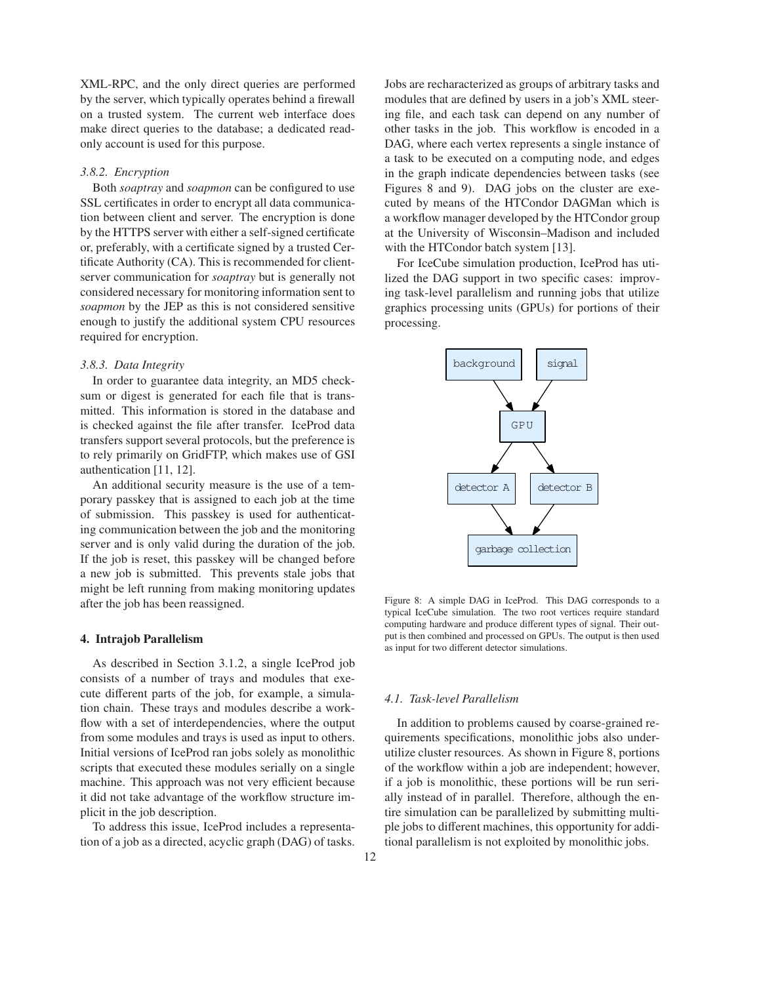XML-RPC, and the only direct queries are performed by the server, which typically operates behind a firewall on a trusted system. The current web interface does make direct queries to the database; a dedicated readonly account is used for this purpose.

#### *3.8.2. Encryption*

Both *soaptray* and *soapmon* can be configured to use SSL certificates in order to encrypt all data communication between client and server. The encryption is done by the HTTPS server with either a self-signed certificate or, preferably, with a certificate signed by a trusted Certificate Authority (CA). This is recommended for clientserver communication for *soaptray* but is generally not considered necessary for monitoring information sent to *soapmon* by the JEP as this is not considered sensitive enough to justify the additional system CPU resources required for encryption.

#### *3.8.3. Data Integrity*

In order to guarantee data integrity, an MD5 checksum or digest is generated for each file that is transmitted. This information is stored in the database and is checked against the file after transfer. IceProd data transfers support several protocols, but the preference is to rely primarily on GridFTP, which makes use of GSI authentication [11, 12].

An additional security measure is the use of a temporary passkey that is assigned to each job at the time of submission. This passkey is used for authenticating communication between the job and the monitoring server and is only valid during the duration of the job. If the job is reset, this passkey will be changed before a new job is submitted. This prevents stale jobs that might be left running from making monitoring updates after the job has been reassigned.

#### 4. Intrajob Parallelism

As described in Section 3.1.2, a single IceProd job consists of a number of trays and modules that execute different parts of the job, for example, a simulation chain. These trays and modules describe a workflow with a set of interdependencies, where the output from some modules and trays is used as input to others. Initial versions of IceProd ran jobs solely as monolithic scripts that executed these modules serially on a single machine. This approach was not very efficient because it did not take advantage of the workflow structure implicit in the job description.

To address this issue, IceProd includes a representation of a job as a directed, acyclic graph (DAG) of tasks. Jobs are recharacterized as groups of arbitrary tasks and modules that are defined by users in a job's XML steering file, and each task can depend on any number of other tasks in the job. This workflow is encoded in a DAG, where each vertex represents a single instance of a task to be executed on a computing node, and edges in the graph indicate dependencies between tasks (see Figures 8 and 9). DAG jobs on the cluster are executed by means of the HTCondor DAGMan which is a workflow manager developed by the HTCondor group at the University of Wisconsin–Madison and included with the HTCondor batch system [13].

For IceCube simulation production, IceProd has utilized the DAG support in two specific cases: improving task-level parallelism and running jobs that utilize graphics processing units (GPUs) for portions of their processing.



Figure 8: A simple DAG in IceProd. This DAG corresponds to a typical IceCube simulation. The two root vertices require standard computing hardware and produce different types of signal. Their output is then combined and processed on GPUs. The output is then used as input for two different detector simulations.

## *4.1. Task-level Parallelism*

In addition to problems caused by coarse-grained requirements specifications, monolithic jobs also underutilize cluster resources. As shown in Figure 8, portions of the workflow within a job are independent; however, if a job is monolithic, these portions will be run serially instead of in parallel. Therefore, although the entire simulation can be parallelized by submitting multiple jobs to different machines, this opportunity for additional parallelism is not exploited by monolithic jobs.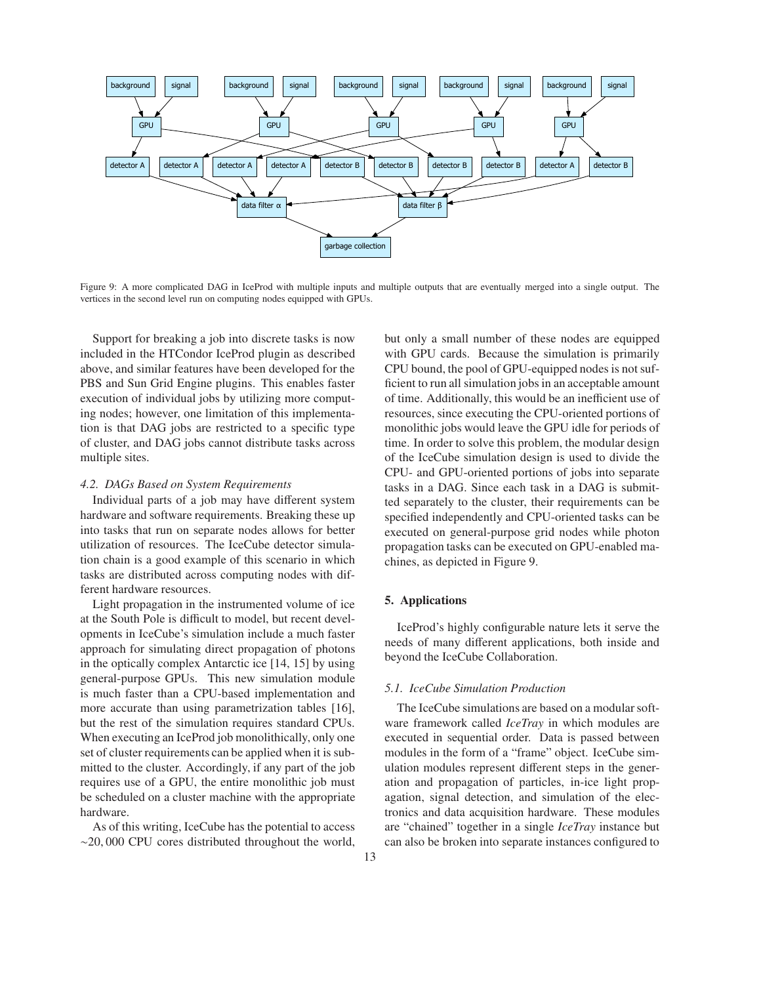

Figure 9: A more complicated DAG in IceProd with multiple inputs and multiple outputs that are eventually merged into a single output. The vertices in the second level run on computing nodes equipped with GPUs.

Support for breaking a job into discrete tasks is now included in the HTCondor IceProd plugin as described above, and similar features have been developed for the PBS and Sun Grid Engine plugins. This enables faster execution of individual jobs by utilizing more computing nodes; however, one limitation of this implementation is that DAG jobs are restricted to a specific type of cluster, and DAG jobs cannot distribute tasks across multiple sites.

#### *4.2. DAGs Based on System Requirements*

Individual parts of a job may have different system hardware and software requirements. Breaking these up into tasks that run on separate nodes allows for better utilization of resources. The IceCube detector simulation chain is a good example of this scenario in which tasks are distributed across computing nodes with different hardware resources.

Light propagation in the instrumented volume of ice at the South Pole is difficult to model, but recent developments in IceCube's simulation include a much faster approach for simulating direct propagation of photons in the optically complex Antarctic ice [14, 15] by using general-purpose GPUs. This new simulation module is much faster than a CPU-based implementation and more accurate than using parametrization tables [16], but the rest of the simulation requires standard CPUs. When executing an IceProd job monolithically, only one set of cluster requirements can be applied when it is submitted to the cluster. Accordingly, if any part of the job requires use of a GPU, the entire monolithic job must be scheduled on a cluster machine with the appropriate hardware.

As of this writing, IceCube has the potential to access <sup>∼</sup>20, 000 CPU cores distributed throughout the world,

but only a small number of these nodes are equipped with GPU cards. Because the simulation is primarily CPU bound, the pool of GPU-equipped nodes is not sufficient to run all simulation jobs in an acceptable amount of time. Additionally, this would be an inefficient use of resources, since executing the CPU-oriented portions of monolithic jobs would leave the GPU idle for periods of time. In order to solve this problem, the modular design of the IceCube simulation design is used to divide the CPU- and GPU-oriented portions of jobs into separate tasks in a DAG. Since each task in a DAG is submitted separately to the cluster, their requirements can be specified independently and CPU-oriented tasks can be executed on general-purpose grid nodes while photon propagation tasks can be executed on GPU-enabled machines, as depicted in Figure 9.

# 5. Applications

IceProd's highly configurable nature lets it serve the needs of many different applications, both inside and beyond the IceCube Collaboration.

# *5.1. IceCube Simulation Production*

The IceCube simulations are based on a modular software framework called *IceTray* in which modules are executed in sequential order. Data is passed between modules in the form of a "frame" object. IceCube simulation modules represent different steps in the generation and propagation of particles, in-ice light propagation, signal detection, and simulation of the electronics and data acquisition hardware. These modules are "chained" together in a single *IceTray* instance but can also be broken into separate instances configured to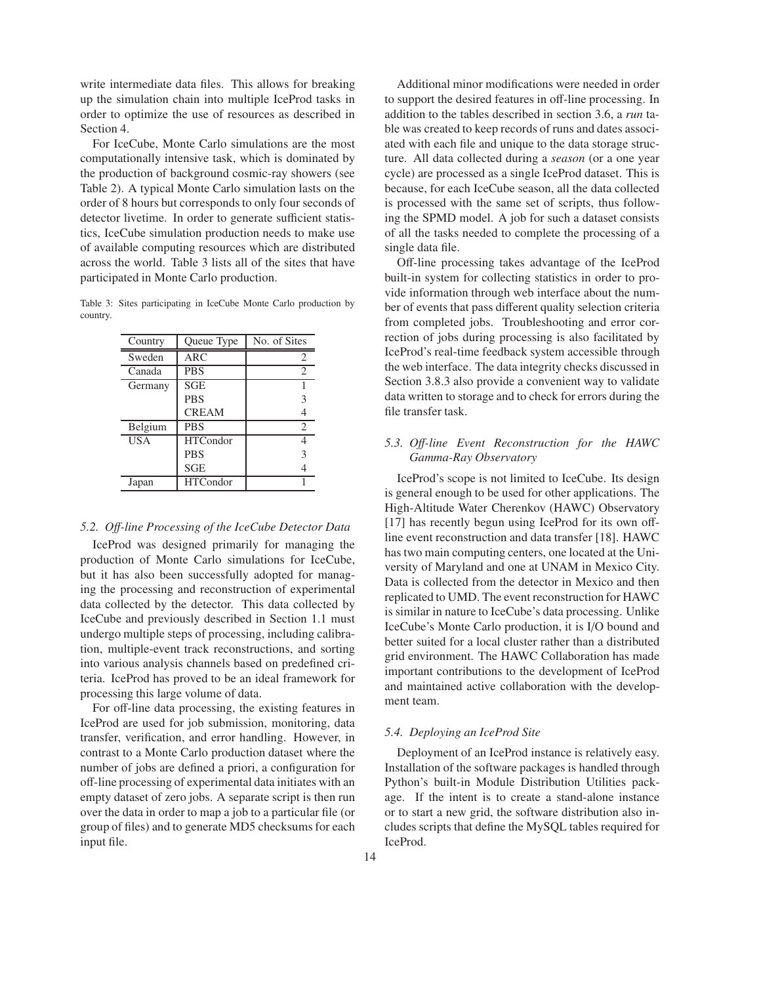write intermediate data files. This allows for breaking up the simulation chain into multiple IceProd tasks in order to optimize the use of resources as described in Section 4.

For IceCube, Monte Carlo simulations are the most computationally intensive task, which is dominated by the production of background cosmic-ray showers (see Table 2). A typical Monte Carlo simulation lasts on the order of 8 hours but corresponds to only four seconds of detector livetime. In order to generate sufficient statistics, IceCube simulation production needs to make use of available computing resources which are distributed across the world. Table 3 lists all of the sites that have participated in Monte Carlo production.

|          | Table 3: Sites participating in IceCube Monte Carlo production by |  |  |  |
|----------|-------------------------------------------------------------------|--|--|--|
| country. |                                                                   |  |  |  |

| Country | Queue Type      | No. of Sites   |
|---------|-----------------|----------------|
| Sweden  | <b>ARC</b>      | 2              |
| Canada  | <b>PBS</b>      | $\mathfrak{D}$ |
| Germany | <b>SGE</b>      |                |
|         | <b>PBS</b>      | 3              |
|         | <b>CREAM</b>    |                |
| Belgium | <b>PBS</b>      | $\overline{c}$ |
| USA     | <b>HTCondor</b> | 4              |
|         | <b>PBS</b>      | 3              |
|         | <b>SGE</b>      |                |
| Japan   | <b>HTCondor</b> |                |

#### *5.2. O*ff*-line Processing of the IceCube Detector Data*

IceProd was designed primarily for managing the production of Monte Carlo simulations for IceCube, but it has also been successfully adopted for managing the processing and reconstruction of experimental data collected by the detector. This data collected by IceCube and previously described in Section 1.1 must undergo multiple steps of processing, including calibration, multiple-event track reconstructions, and sorting into various analysis channels based on predefined criteria. IceProd has proved to be an ideal framework for processing this large volume of data.

For off-line data processing, the existing features in IceProd are used for job submission, monitoring, data transfer, verification, and error handling. However, in contrast to a Monte Carlo production dataset where the number of jobs are defined a priori, a configuration for off-line processing of experimental data initiates with an empty dataset of zero jobs. A separate script is then run over the data in order to map a job to a particular file (or group of files) and to generate MD5 checksums for each input file.

Additional minor modifications were needed in order to support the desired features in off-line processing. In addition to the tables described in section 3.6, a *run* table was created to keep records of runs and dates associated with each file and unique to the data storage structure. All data collected during a *season* (or a one year cycle) are processed as a single IceProd dataset. This is because, for each IceCube season, all the data collected is processed with the same set of scripts, thus following the SPMD model. A job for such a dataset consists of all the tasks needed to complete the processing of a single data file.

Off-line processing takes advantage of the IceProd built-in system for collecting statistics in order to provide information through web interface about the number of events that pass different quality selection criteria from completed jobs. Troubleshooting and error correction of jobs during processing is also facilitated by IceProd's real-time feedback system accessible through the web interface. The data integrity checks discussed in Section 3.8.3 also provide a convenient way to validate data written to storage and to check for errors during the file transfer task.

# *5.3. O*ff*-line Event Reconstruction for the HAWC Gamma-Ray Observatory*

IceProd's scope is not limited to IceCube. Its design is general enough to be used for other applications. The High-Altitude Water Cherenkov (HAWC) Observatory [17] has recently begun using IceProd for its own offline event reconstruction and data transfer [18]. HAWC has two main computing centers, one located at the University of Maryland and one at UNAM in Mexico City. Data is collected from the detector in Mexico and then replicated to UMD. The event reconstruction for HAWC is similar in nature to IceCube's data processing. Unlike IceCube's Monte Carlo production, it is I/O bound and better suited for a local cluster rather than a distributed grid environment. The HAWC Collaboration has made important contributions to the development of IceProd and maintained active collaboration with the development team.

# *5.4. Deploying an IceProd Site*

Deployment of an IceProd instance is relatively easy. Installation of the software packages is handled through Python's built-in Module Distribution Utilities package. If the intent is to create a stand-alone instance or to start a new grid, the software distribution also includes scripts that define the MySQL tables required for IceProd.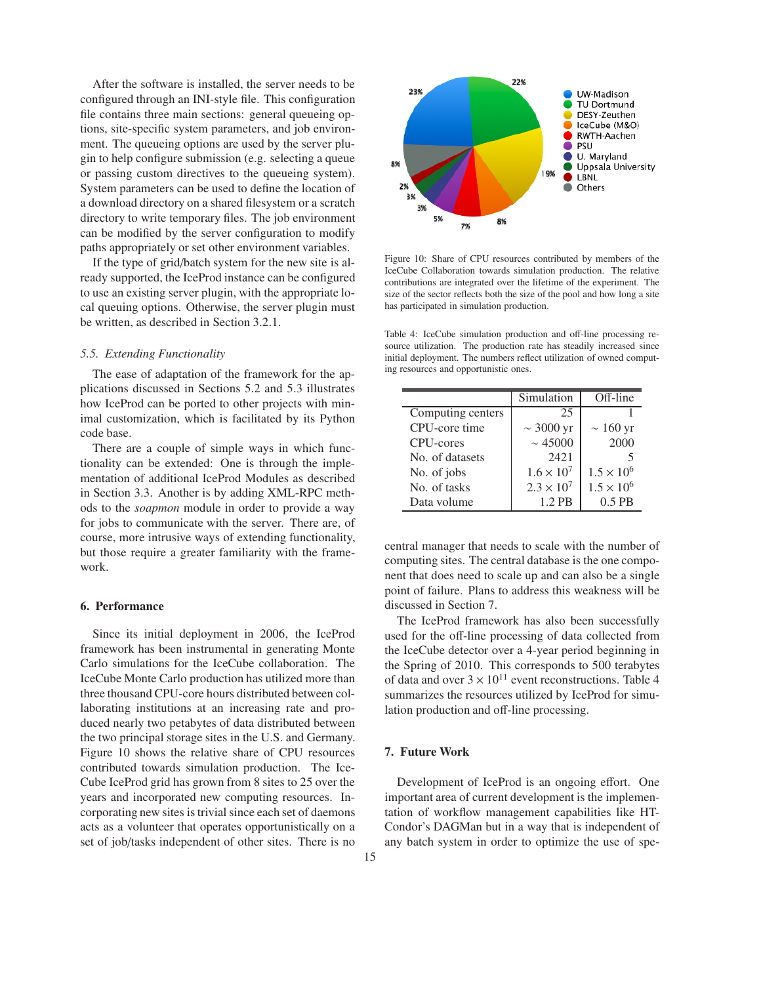After the software is installed, the server needs to be configured through an INI-style file. This configuration file contains three main sections: general queueing options, site-specific system parameters, and job environment. The queueing options are used by the server plugin to help configure submission (e.g. selecting a queue or passing custom directives to the queueing system). System parameters can be used to define the location of a download directory on a shared filesystem or a scratch directory to write temporary files. The job environment can be modified by the server configuration to modify paths appropriately or set other environment variables.

If the type of grid/batch system for the new site is already supported, the IceProd instance can be configured to use an existing server plugin, with the appropriate local queuing options. Otherwise, the server plugin must be written, as described in Section 3.2.1.

# *5.5. Extending Functionality*

The ease of adaptation of the framework for the applications discussed in Sections 5.2 and 5.3 illustrates how IceProd can be ported to other projects with minimal customization, which is facilitated by its Python code base.

There are a couple of simple ways in which functionality can be extended: One is through the implementation of additional IceProd Modules as described in Section 3.3. Another is by adding XML-RPC methods to the *soapmon* module in order to provide a way for jobs to communicate with the server. There are, of course, more intrusive ways of extending functionality, but those require a greater familiarity with the framework.

## 6. Performance

Since its initial deployment in 2006, the IceProd framework has been instrumental in generating Monte Carlo simulations for the IceCube collaboration. The IceCube Monte Carlo production has utilized more than three thousand CPU-core hours distributed between collaborating institutions at an increasing rate and produced nearly two petabytes of data distributed between the two principal storage sites in the U.S. and Germany. Figure 10 shows the relative share of CPU resources contributed towards simulation production. The Ice-Cube IceProd grid has grown from 8 sites to 25 over the years and incorporated new computing resources. Incorporating new sites is trivial since each set of daemons acts as a volunteer that operates opportunistically on a set of job/tasks independent of other sites. There is no



Figure 10: Share of CPU resources contributed by members of the IceCube Collaboration towards simulation production. The relative contributions are integrated over the lifetime of the experiment. The size of the sector reflects both the size of the pool and how long a site has participated in simulation production.

Table 4: IceCube simulation production and off-line processing resource utilization. The production rate has steadily increased since initial deployment. The numbers reflect utilization of owned computing resources and opportunistic ones.

|                   | Simulation          | Off-line            |
|-------------------|---------------------|---------------------|
| Computing centers | 25                  |                     |
| CPU-core time     | $\sim$ 3000 yr      | $\sim 160$ yr       |
| CPU-cores         | $\sim 45000$        | 2000                |
| No. of datasets   | 2421                |                     |
| No. of jobs       | $1.6 \times 10^{7}$ | $1.5 \times 10^{6}$ |
| No. of tasks      | $2.3 \times 10^{7}$ | $1.5 \times 10^{6}$ |
| Data volume       | 1.2 PB              | $0.5$ PB            |

central manager that needs to scale with the number of computing sites. The central database is the one component that does need to scale up and can also be a single point of failure. Plans to address this weakness will be discussed in Section 7.

The IceProd framework has also been successfully used for the off-line processing of data collected from the IceCube detector over a 4-year period beginning in the Spring of 2010. This corresponds to 500 terabytes of data and over  $3 \times 10^{11}$  event reconstructions. Table 4 summarizes the resources utilized by IceProd for simulation production and off-line processing.

# 7. Future Work

Development of IceProd is an ongoing effort. One important area of current development is the implementation of workflow management capabilities like HT-Condor's DAGMan but in a way that is independent of any batch system in order to optimize the use of spe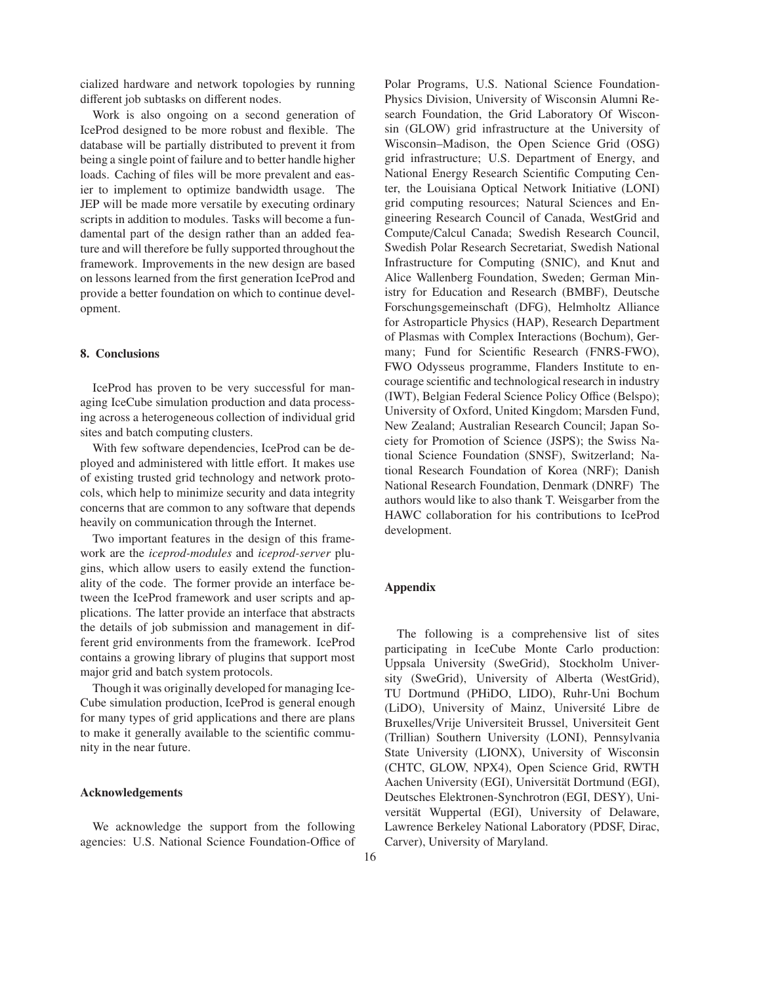cialized hardware and network topologies by running different job subtasks on different nodes.

Work is also ongoing on a second generation of IceProd designed to be more robust and flexible. The database will be partially distributed to prevent it from being a single point of failure and to better handle higher loads. Caching of files will be more prevalent and easier to implement to optimize bandwidth usage. The JEP will be made more versatile by executing ordinary scripts in addition to modules. Tasks will become a fundamental part of the design rather than an added feature and will therefore be fully supported throughout the framework. Improvements in the new design are based on lessons learned from the first generation IceProd and provide a better foundation on which to continue development.

# 8. Conclusions

IceProd has proven to be very successful for managing IceCube simulation production and data processing across a heterogeneous collection of individual grid sites and batch computing clusters.

With few software dependencies, IceProd can be deployed and administered with little effort. It makes use of existing trusted grid technology and network protocols, which help to minimize security and data integrity concerns that are common to any software that depends heavily on communication through the Internet.

Two important features in the design of this framework are the *iceprod-modules* and *iceprod-server* plugins, which allow users to easily extend the functionality of the code. The former provide an interface between the IceProd framework and user scripts and applications. The latter provide an interface that abstracts the details of job submission and management in different grid environments from the framework. IceProd contains a growing library of plugins that support most major grid and batch system protocols.

Though it was originally developed for managing Ice-Cube simulation production, IceProd is general enough for many types of grid applications and there are plans to make it generally available to the scientific community in the near future.

### Acknowledgements

We acknowledge the support from the following agencies: U.S. National Science Foundation-Office of Polar Programs, U.S. National Science Foundation-Physics Division, University of Wisconsin Alumni Research Foundation, the Grid Laboratory Of Wisconsin (GLOW) grid infrastructure at the University of Wisconsin–Madison, the Open Science Grid (OSG) grid infrastructure; U.S. Department of Energy, and National Energy Research Scientific Computing Center, the Louisiana Optical Network Initiative (LONI) grid computing resources; Natural Sciences and Engineering Research Council of Canada, WestGrid and Compute/Calcul Canada; Swedish Research Council, Swedish Polar Research Secretariat, Swedish National Infrastructure for Computing (SNIC), and Knut and Alice Wallenberg Foundation, Sweden; German Ministry for Education and Research (BMBF), Deutsche Forschungsgemeinschaft (DFG), Helmholtz Alliance for Astroparticle Physics (HAP), Research Department of Plasmas with Complex Interactions (Bochum), Germany; Fund for Scientific Research (FNRS-FWO), FWO Odysseus programme, Flanders Institute to encourage scientific and technological research in industry (IWT), Belgian Federal Science Policy Office (Belspo); University of Oxford, United Kingdom; Marsden Fund, New Zealand; Australian Research Council; Japan Society for Promotion of Science (JSPS); the Swiss National Science Foundation (SNSF), Switzerland; National Research Foundation of Korea (NRF); Danish National Research Foundation, Denmark (DNRF) The authors would like to also thank T. Weisgarber from the HAWC collaboration for his contributions to IceProd development.

# Appendix

The following is a comprehensive list of sites participating in IceCube Monte Carlo production: Uppsala University (SweGrid), Stockholm University (SweGrid), University of Alberta (WestGrid), TU Dortmund (PHiDO, LIDO), Ruhr-Uni Bochum (LiDO), University of Mainz, Université Libre de Bruxelles/Vrije Universiteit Brussel, Universiteit Gent (Trillian) Southern University (LONI), Pennsylvania State University (LIONX), University of Wisconsin (CHTC, GLOW, NPX4), Open Science Grid, RWTH Aachen University (EGI), Universität Dortmund (EGI), Deutsches Elektronen-Synchrotron (EGI, DESY), Universität Wuppertal (EGI), University of Delaware, Lawrence Berkeley National Laboratory (PDSF, Dirac, Carver), University of Maryland.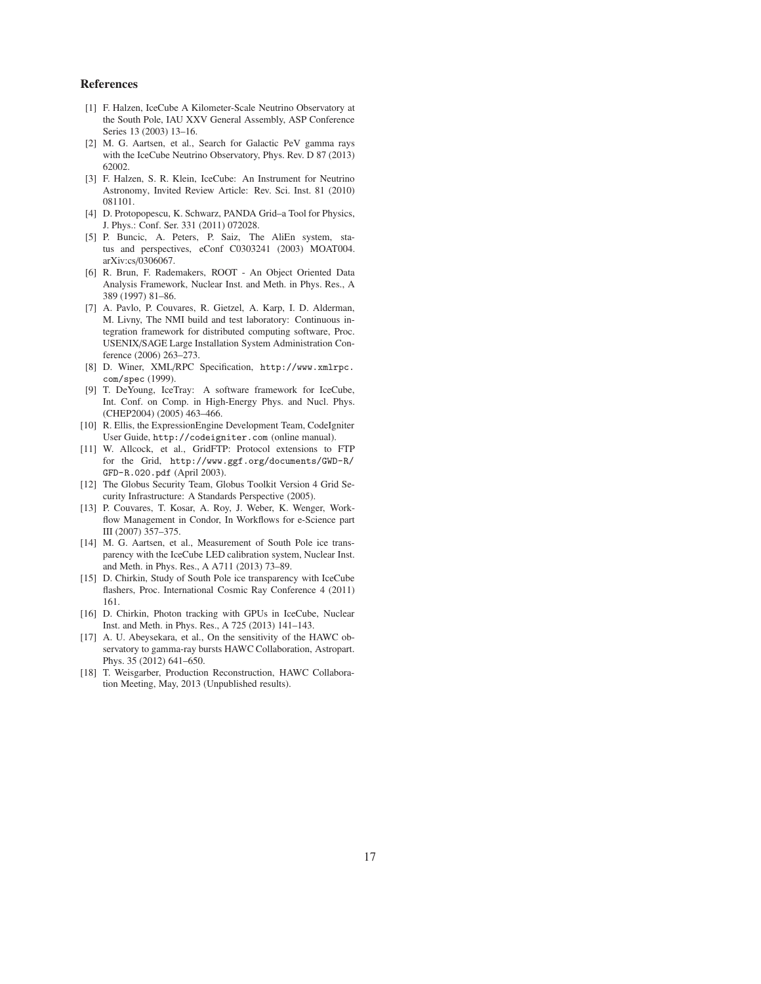#### References

- [1] F. Halzen, IceCube A Kilometer-Scale Neutrino Observatory at the South Pole, IAU XXV General Assembly, ASP Conference Series 13 (2003) 13–16.
- [2] M. G. Aartsen, et al., Search for Galactic PeV gamma rays with the IceCube Neutrino Observatory, Phys. Rev. D 87 (2013) 62002.
- [3] F. Halzen, S. R. Klein, IceCube: An Instrument for Neutrino Astronomy, Invited Review Article: Rev. Sci. Inst. 81 (2010) 081101.
- [4] D. Protopopescu, K. Schwarz, PANDA Grid–a Tool for Physics, J. Phys.: Conf. Ser. 331 (2011) 072028.
- [5] P. Buncic, A. Peters, P. Saiz, The AliEn system, status and perspectives, eConf C0303241 (2003) MOAT004. arXiv:cs/0306067.
- [6] R. Brun, F. Rademakers, ROOT An Object Oriented Data Analysis Framework, Nuclear Inst. and Meth. in Phys. Res., A 389 (1997) 81–86.
- [7] A. Pavlo, P. Couvares, R. Gietzel, A. Karp, I. D. Alderman, M. Livny, The NMI build and test laboratory: Continuous integration framework for distributed computing software, Proc. USENIX/SAGE Large Installation System Administration Conference (2006) 263–273.
- [8] D. Winer, XML/RPC Specification, http://www.xmlrpc. com/spec (1999).
- [9] T. DeYoung, IceTray: A software framework for IceCube, Int. Conf. on Comp. in High-Energy Phys. and Nucl. Phys. (CHEP2004) (2005) 463–466.
- [10] R. Ellis, the ExpressionEngine Development Team, CodeIgniter User Guide, http://codeigniter.com (online manual).
- [11] W. Allcock, et al., GridFTP: Protocol extensions to FTP for the Grid, http://www.ggf.org/documents/GWD-R/ GFD-R.020.pdf (April 2003).
- [12] The Globus Security Team, Globus Toolkit Version 4 Grid Security Infrastructure: A Standards Perspective (2005).
- [13] P. Couvares, T. Kosar, A. Roy, J. Weber, K. Wenger, Workflow Management in Condor, In Workflows for e-Science part III (2007) 357–375.
- [14] M. G. Aartsen, et al., Measurement of South Pole ice transparency with the IceCube LED calibration system, Nuclear Inst. and Meth. in Phys. Res., A A711 (2013) 73–89.
- [15] D. Chirkin, Study of South Pole ice transparency with IceCube flashers, Proc. International Cosmic Ray Conference 4 (2011) 161.
- [16] D. Chirkin, Photon tracking with GPUs in IceCube, Nuclear Inst. and Meth. in Phys. Res., A 725 (2013) 141–143.
- [17] A. U. Abeysekara, et al., On the sensitivity of the HAWC observatory to gamma-ray bursts HAWC Collaboration, Astropart. Phys. 35 (2012) 641–650.
- [18] T. Weisgarber, Production Reconstruction, HAWC Collaboration Meeting, May, 2013 (Unpublished results).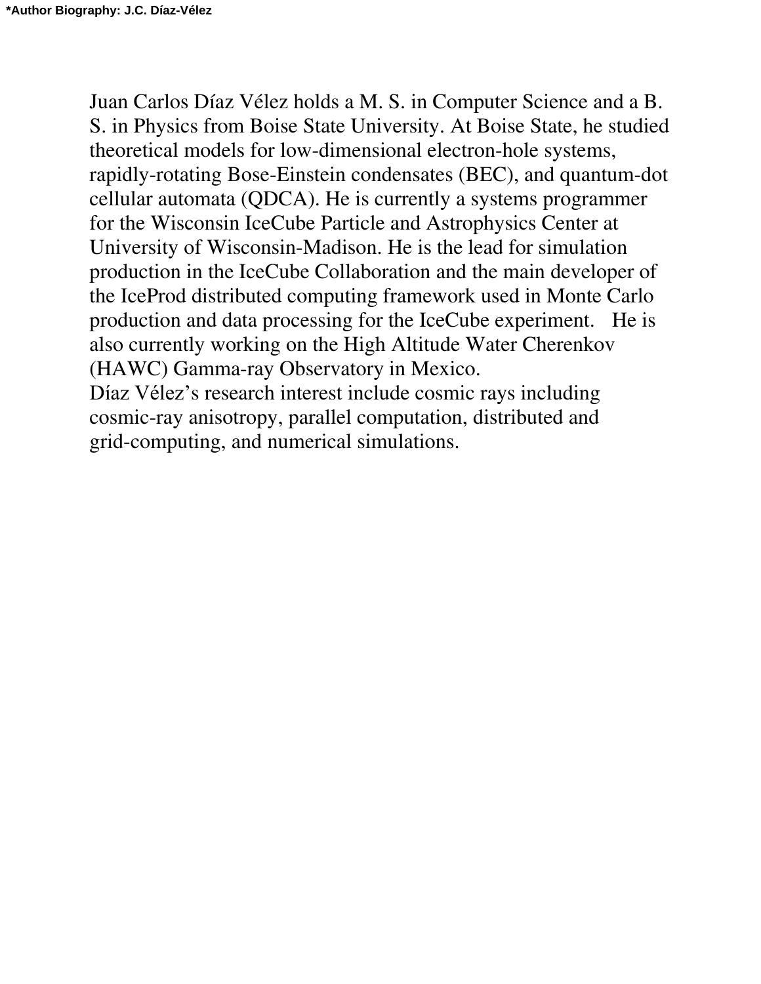Juan Carlos Díaz Vélez holds a M. S. in Computer Science and a B. S. in Physics from Boise State University. At Boise State, he studied theoretical models for low-dimensional electron-hole systems, rapidly-rotating Bose-Einstein condensates (BEC), and quantum-dot cellular automata (QDCA). He is currently a systems programmer for the Wisconsin IceCube Particle and Astrophysics Center at University of Wisconsin-Madison. He is the lead for simulation production in the IceCube Collaboration and the main developer of the IceProd distributed computing framework used in Monte Carlo production and data processing for the IceCube experiment. He is also currently working on the High Altitude Water Cherenkov (HAWC) Gamma-ray Observatory in Mexico.

Díaz Vélez's research interest include cosmic rays including cosmic-ray anisotropy, parallel computation, distributed and grid-computing, and numerical simulations.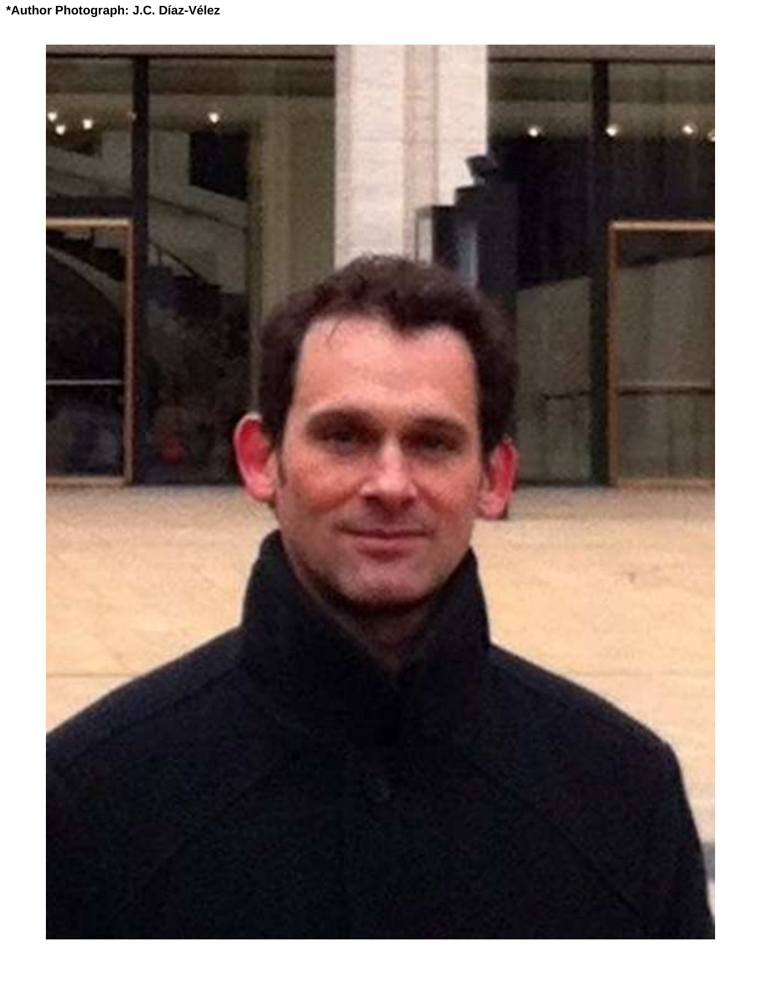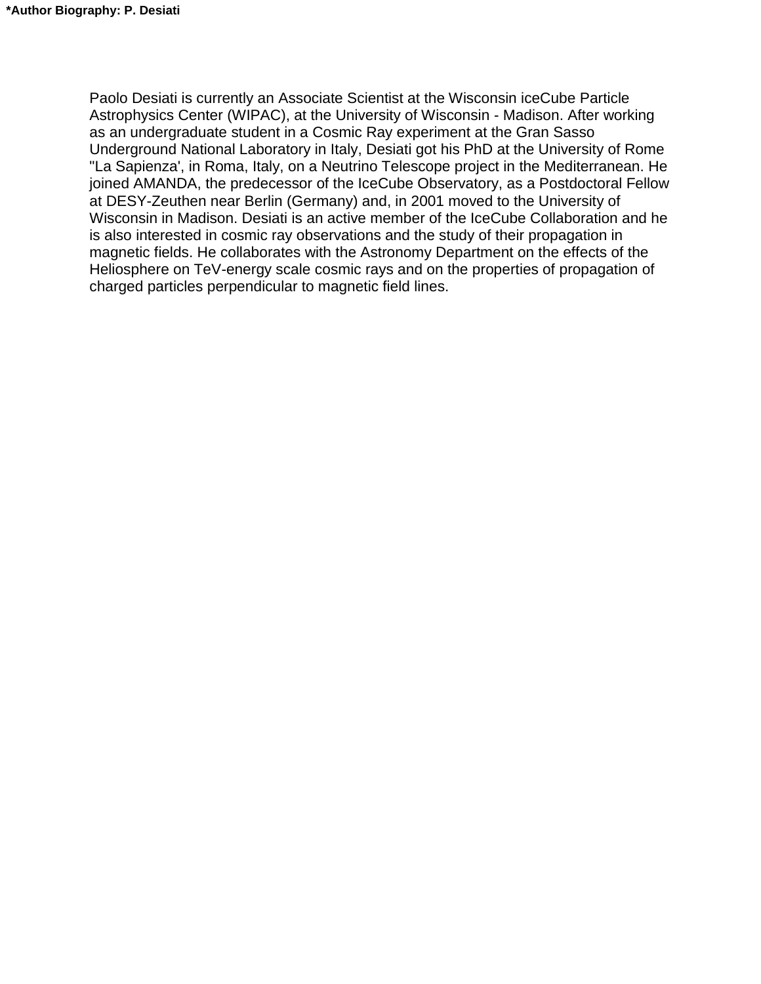Paolo Desiati is currently an Associate Scientist at the Wisconsin iceCube Particle Astrophysics Center (WIPAC), at the University of Wisconsin - Madison. After working as an undergraduate student in a Cosmic Ray experiment at the Gran Sasso Underground National Laboratory in Italy, Desiati got his PhD at the University of Rome "La Sapienza', in Roma, Italy, on a Neutrino Telescope project in the Mediterranean. He joined AMANDA, the predecessor of the IceCube Observatory, as a Postdoctoral Fellow at DESY-Zeuthen near Berlin (Germany) and, in 2001 moved to the University of Wisconsin in Madison. Desiati is an active member of the IceCube Collaboration and he is also interested in cosmic ray observations and the study of their propagation in magnetic fields. He collaborates with the Astronomy Department on the effects of the Heliosphere on TeV-energy scale cosmic rays and on the properties of propagation of charged particles perpendicular to magnetic field lines.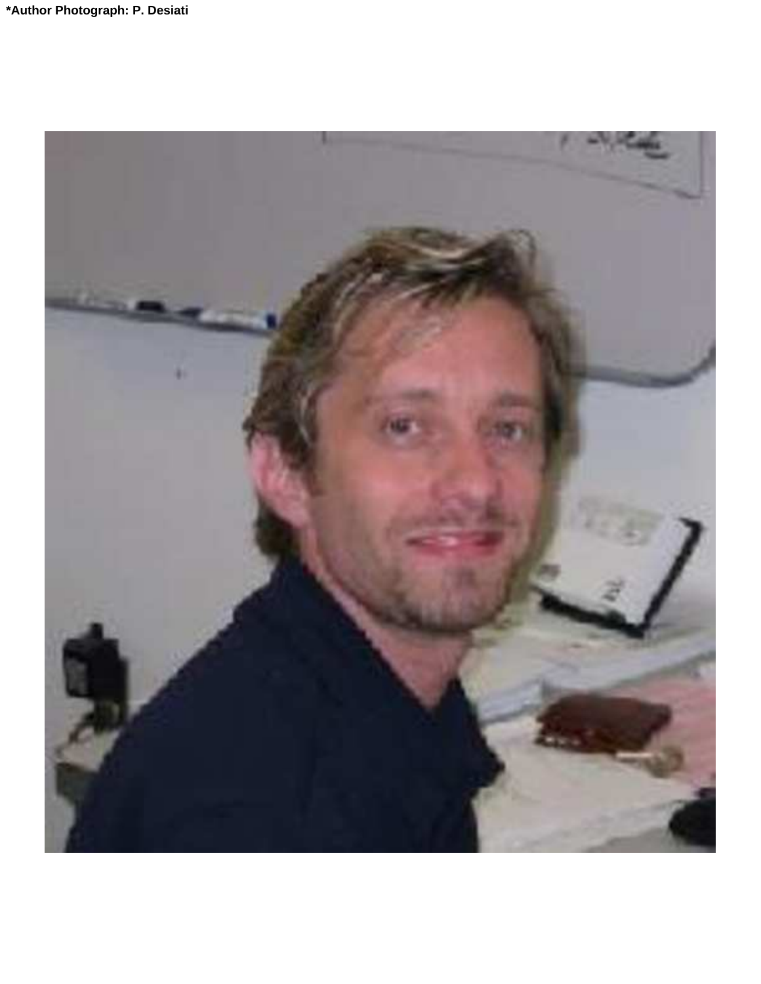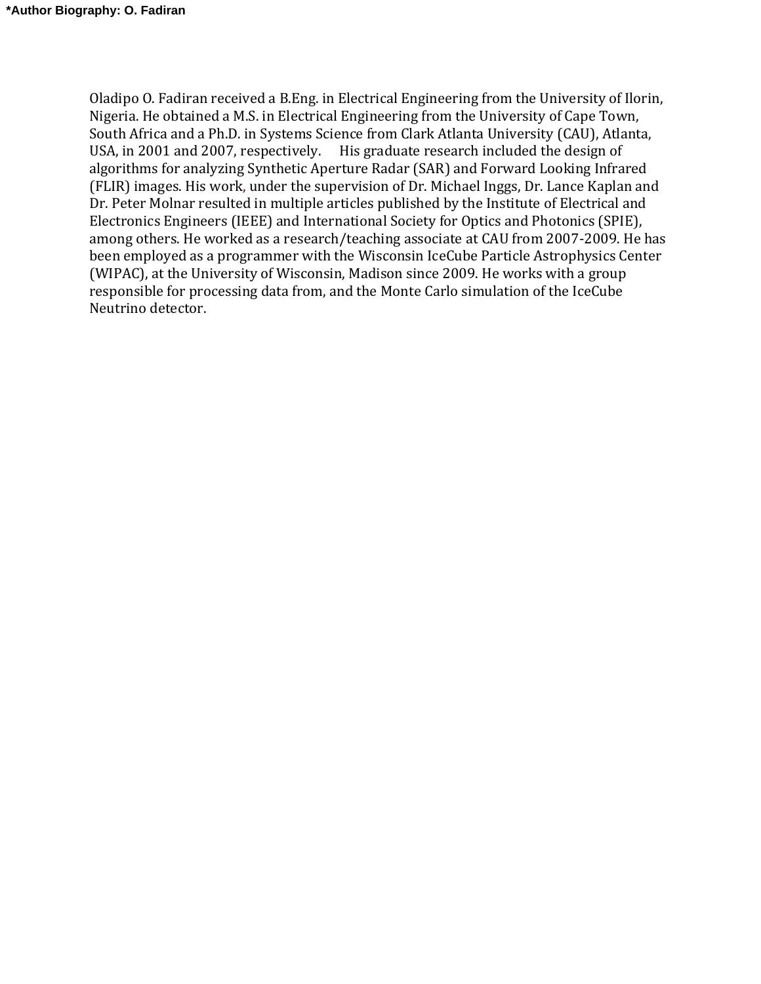Oladipo O. Fadiran received a B.Eng. in Electrical Engineering from the University of Ilorin, Nigeria. He obtained a M.S. in Electrical Engineering from the University of Cape Town, South Africa and a Ph.D. in Systems Science from Clark Atlanta University (CAU), Atlanta, USA, in 2001 and 2007, respectively. His graduate research included the design of algorithms for analyzing Synthetic Aperture Radar (SAR) and Forward Looking Infrared (FLIR) images. His work, under the supervision of Dr. Michael Inggs, Dr. Lance Kaplan and Dr. Peter Molnar resulted in multiple articles published by the Institute of Electrical and Electronics Engineers (IEEE) and International Society for Optics and Photonics (SPIE), among others. He worked as a research/teaching associate at CAU from 2007-2009. He has been employed as a programmer with the Wisconsin IceCube Particle Astrophysics Center (WIPAC), at the University of Wisconsin, Madison since 2009. He works with a group responsible for processing data from, and the Monte Carlo simulation of the IceCube Neutrino detector.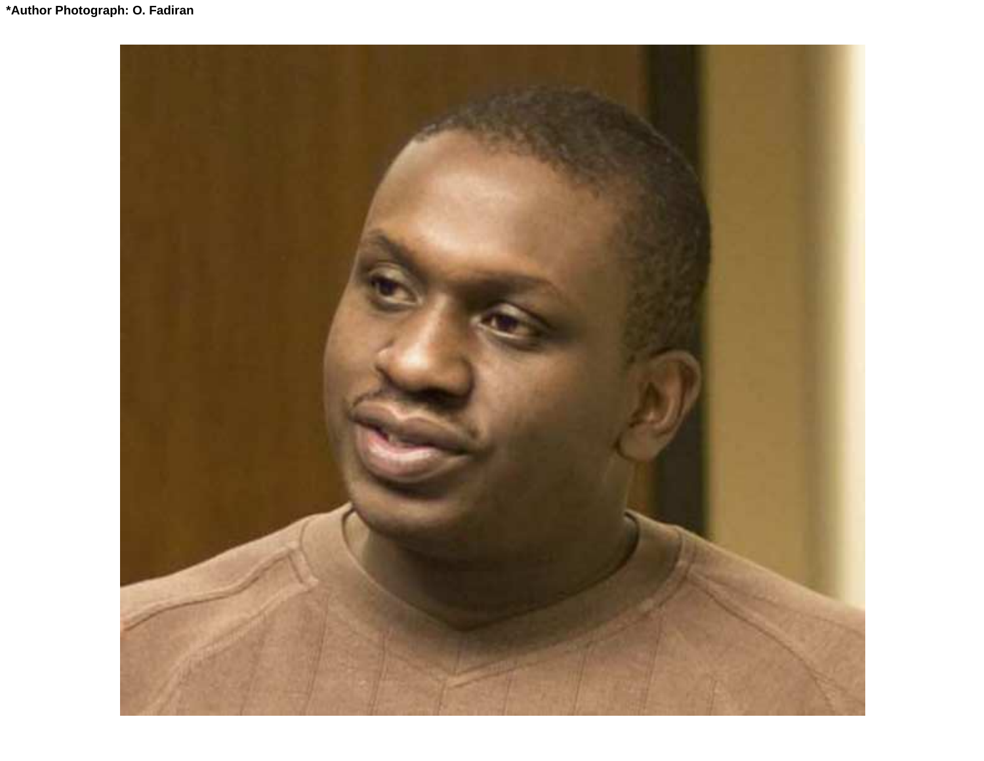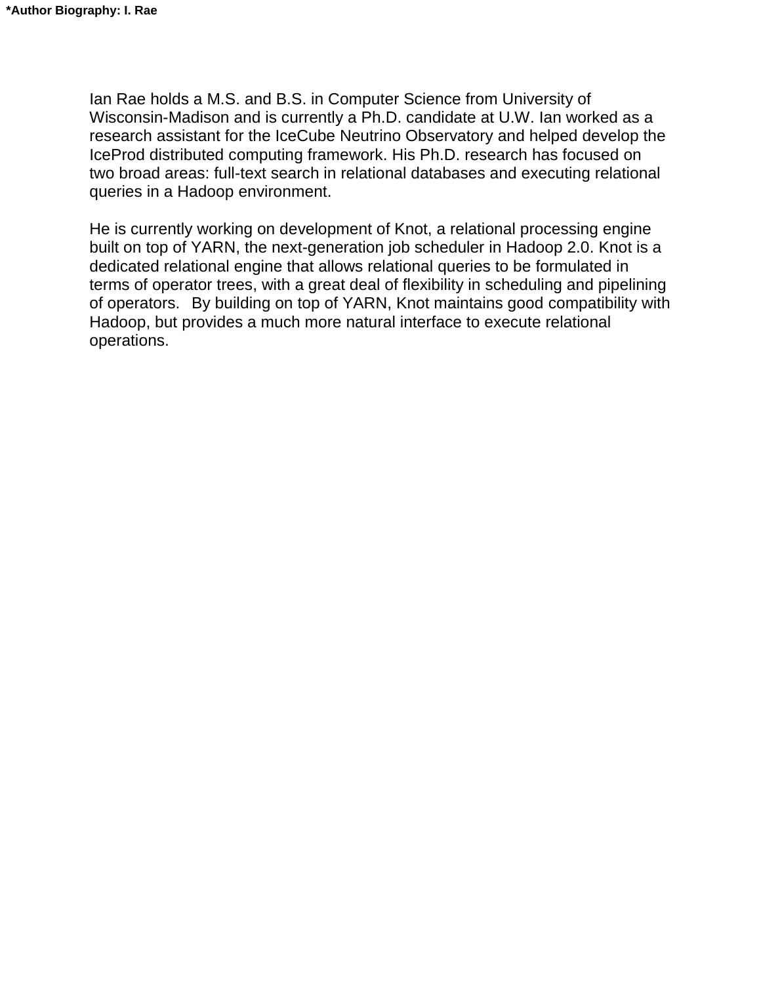Ian Rae holds a M.S. and B.S. in Computer Science from University of Wisconsin-Madison and is currently a Ph.D. candidate at U.W. Ian worked as a research assistant for the IceCube Neutrino Observatory and helped develop the IceProd distributed computing framework. His Ph.D. research has focused on two broad areas: full-text search in relational databases and executing relational queries in a Hadoop environment.

He is currently working on development of Knot, a relational processing engine built on top of YARN, the next-generation job scheduler in Hadoop 2.0. Knot is a dedicated relational engine that allows relational queries to be formulated in terms of operator trees, with a great deal of flexibility in scheduling and pipelining of operators. By building on top of YARN, Knot maintains good compatibility with Hadoop, but provides a much more natural interface to execute relational operations.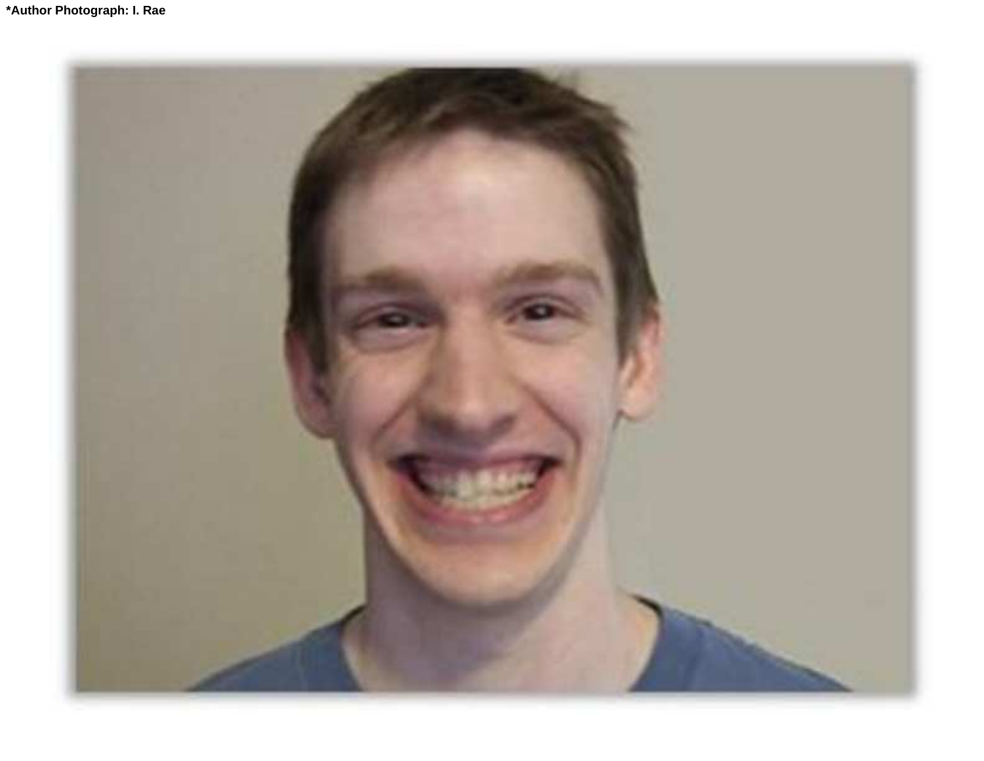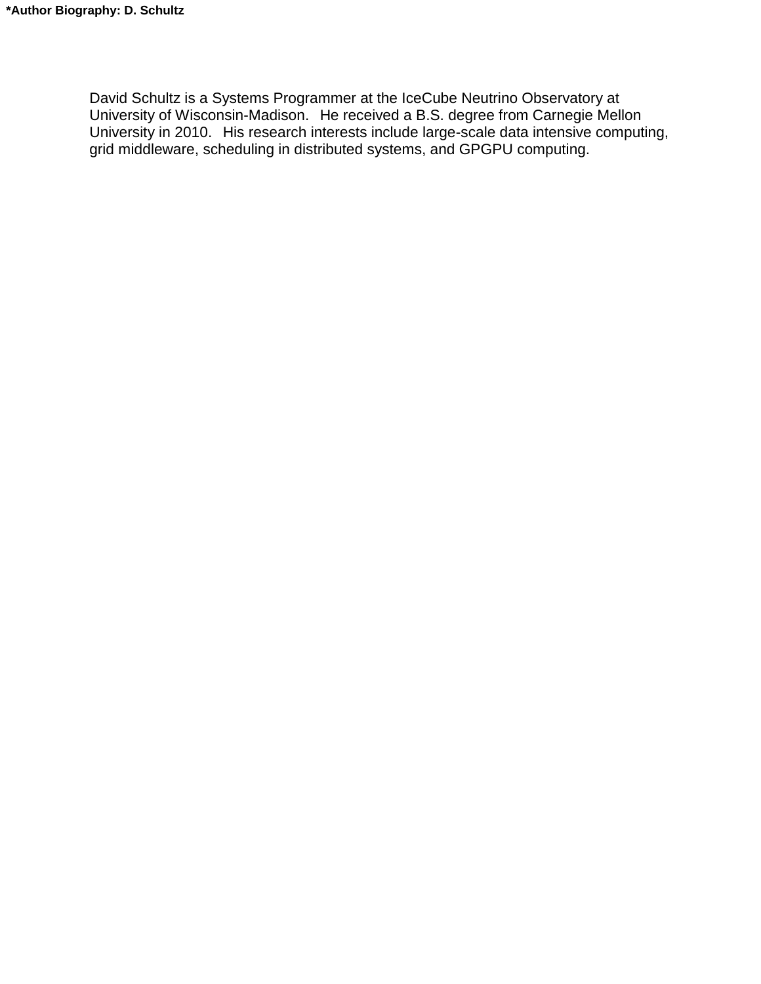David Schultz is a Systems Programmer at the IceCube Neutrino Observatory at University of Wisconsin-Madison. He received a B.S. degree from Carnegie Mellon University in 2010. His research interests include large-scale data intensive computing, grid middleware, scheduling in distributed systems, and GPGPU computing.